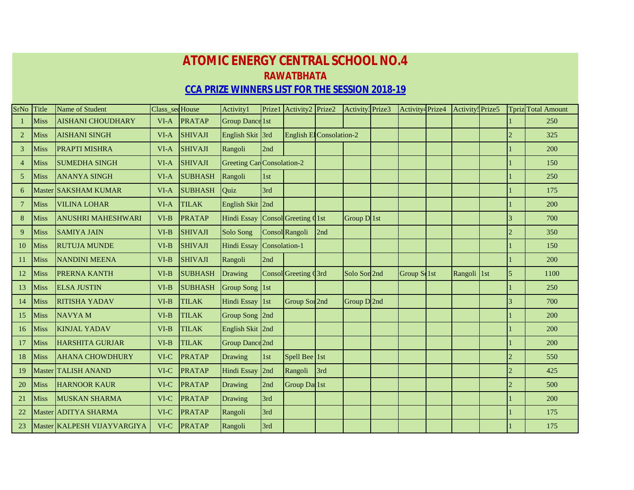## **ATOMIC ENERGY CENTRAL SCHOOL NO.4 RAWATBHATA CCA PRIZE WINNERS LIST FOR THE SESSION 2018-19**

| SrNo           | Title       | Name of Student             | Class_secHouse |                | Activity1                  | Prize1        | Activity2 Prize2                |     | Activity3Prize3          | Activity <sup>4</sup> Prize4 | Activity <sup>5</sup> Prize5 |                | <b>Tpriz</b> Total Amount |
|----------------|-------------|-----------------------------|----------------|----------------|----------------------------|---------------|---------------------------------|-----|--------------------------|------------------------------|------------------------------|----------------|---------------------------|
|                | Miss        | <b>AISHANI CHOUDHARY</b>    | $VI-A$         | <b>PRATAP</b>  | Group Dance 1st            |               |                                 |     |                          |                              |                              |                | 250                       |
| $\overline{2}$ | <b>Miss</b> | <b>AISHANI SINGH</b>        | $VI-A$         | <b>SHIVAJI</b> | English Skit 3rd           |               | <b>English El Consolation-2</b> |     |                          |                              |                              | $\overline{2}$ | 325                       |
| $\overline{3}$ | <b>Miss</b> | <b>PRAPTI MISHRA</b>        | $VI-A$         | <b>SHIVAJI</b> | Rangoli                    | 2nd           |                                 |     |                          |                              |                              |                | 200                       |
| $\overline{4}$ | <b>Miss</b> | <b>SUMEDHA SINGH</b>        | VI-A           | <b>SHIVAJI</b> | Greeting Car Consolation-2 |               |                                 |     |                          |                              |                              |                | 150                       |
| 5 <sup>1</sup> | <b>Miss</b> | <b>ANANYA SINGH</b>         | VI-A           | <b>SUBHASH</b> | Rangoli                    | 1st           |                                 |     |                          |                              |                              |                | 250                       |
| 6              |             | Master SAKSHAM KUMAR        | VI-A           | <b>SUBHASH</b> | Quiz                       | 3rd           |                                 |     |                          |                              |                              |                | 175                       |
| $\overline{7}$ | Miss        | <b>VILINA LOHAR</b>         | $VI-A$         | <b>TILAK</b>   | English Skit 2nd           |               |                                 |     |                          |                              |                              |                | 200                       |
| 8              | <b>Miss</b> | <b>ANUSHRI MAHESHWARI</b>   | $VI-B$         | <b>PRATAP</b>  | Hindi Essay                |               | Consol Greeting 1st             |     | Group $D$ <sup>1st</sup> |                              |                              |                | 700                       |
| 9              | <b>Miss</b> | <b>SAMIYA JAIN</b>          | $VI-B$         | <b>SHIVAJI</b> | Solo Song                  |               | Consol Rangoli                  | 2nd |                          |                              |                              | $\mathcal{D}$  | 350                       |
| 10             | Miss        | <b>RUTUJA MUNDE</b>         | $VI-B$         | <b>SHIVAJI</b> | <b>Hindi Essay</b>         | Consolation-1 |                                 |     |                          |                              |                              |                | 150                       |
| 11             | <b>Miss</b> | <b>NANDINI MEENA</b>        | $VI-B$         | <b>SHIVAJI</b> | Rangoli                    | 2nd           |                                 |     |                          |                              |                              |                | 200                       |
| 12             | Miss        | <b>PRERNA KANTH</b>         | VI-B           | <b>SUBHASH</b> | Drawing                    |               | Consol Greeting (3rd            |     | Solo Son <sub>2nd</sub>  | Group Solst                  | Rangoli 1st                  | 5              | 1100                      |
| 13             | Miss        | <b>ELSA JUSTIN</b>          | $VI-B$         | <b>SUBHASH</b> | <b>Group Song</b>          | $\vert$ 1st   |                                 |     |                          |                              |                              |                | 250                       |
| 14             | Miss        | <b>RITISHA YADAV</b>        | $VI-B$         | <b>TILAK</b>   | Hindi Essay 1st            |               | Group Sor <sub>2nd</sub>        |     | Group D 2nd              |                              |                              | $\overline{3}$ | 700                       |
| 15             | Miss        | <b>NAVYAM</b>               | $VI-B$         | <b>TILAK</b>   | Group Song 2nd             |               |                                 |     |                          |                              |                              |                | 200                       |
| 16             | <b>Miss</b> | <b>KINJAL YADAV</b>         | $VI-B$         | <b>TILAK</b>   | English Skit 2nd           |               |                                 |     |                          |                              |                              |                | 200                       |
| 17             | Miss        | <b>HARSHITA GURJAR</b>      | $VI-B$         | <b>TILAK</b>   | Group Dance 2nd            |               |                                 |     |                          |                              |                              |                | 200                       |
| 18             | <b>Miss</b> | <b>AHANA CHOWDHURY</b>      | VI-C           | <b>PRATAP</b>  | Drawing                    | 1st           | Spell Bee 1st                   |     |                          |                              |                              |                | 550                       |
| 19             | Master      | <b>TALISH ANAND</b>         | VI-C           | <b>PRATAP</b>  | <b>Hindi Essay</b>         | 2nd           | Rangoli                         | 3rd |                          |                              |                              | $\overline{2}$ | 425                       |
| 20             | Miss        | <b>HARNOOR KAUR</b>         | $VI-C$         | <b>PRATAP</b>  | Drawing                    | 2nd           | Group Dal 1st                   |     |                          |                              |                              |                | 500                       |
| 21             | Miss        | <b>MUSKAN SHARMA</b>        | $VI-C$         | <b>PRATAP</b>  | Drawing                    | 3rd           |                                 |     |                          |                              |                              |                | 200                       |
| 22             |             | Master ADITYA SHARMA        | $VI-C$         | <b>PRATAP</b>  | Rangoli                    | 3rd           |                                 |     |                          |                              |                              |                | 175                       |
| 23             |             | Master KALPESH VIJAYVARGIYA | $VI-C$         | PRATAP         | Rangoli                    | 3rd           |                                 |     |                          |                              |                              |                | 175                       |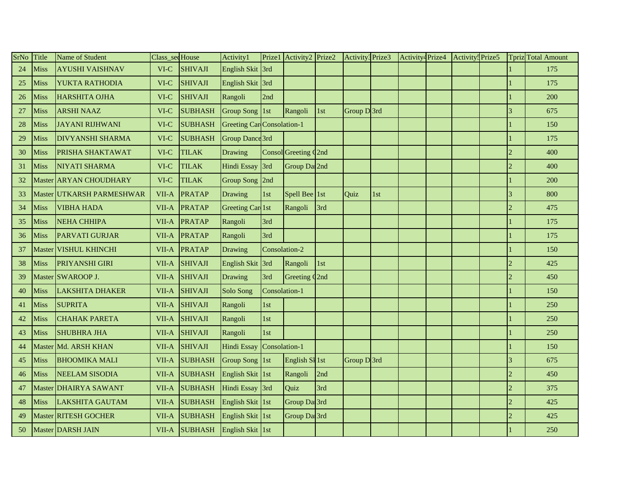| SrNo | Title  | Name of Student               | Class_sedHouse |                | Activity1                         | Prize1        | Activity2 Prize2         |     | Activity3 Prize3 |     | Activity <sup>4</sup> Prize4 | Activity: Prize5 |                             | <b>Tpriz</b> Total Amount |
|------|--------|-------------------------------|----------------|----------------|-----------------------------------|---------------|--------------------------|-----|------------------|-----|------------------------------|------------------|-----------------------------|---------------------------|
| 24   | Miss   | <b>AYUSHI VAISHNAV</b>        | VI-C           | <b>SHIVAJI</b> | <b>English Skit</b>               | 3rd           |                          |     |                  |     |                              |                  |                             | 175                       |
| 25   | Miss   | YUKTA RATHODIA                | $VI-C$         | <b>SHIVAJI</b> | English Skit 3rd                  |               |                          |     |                  |     |                              |                  |                             | 175                       |
| 26   | Miss   | <b>HARSHITA OJHA</b>          | $VI-C$         | <b>SHIVAJI</b> | Rangoli                           | 2nd           |                          |     |                  |     |                              |                  |                             | 200                       |
| 27   | Miss   | <b>ARSHI NAAZ</b>             | VI-C           | <b>SUBHASH</b> | Group Song 1st                    |               | Rangoli                  | 1st | Group D3rd       |     |                              |                  | 3                           | 675                       |
| 28   | Miss   | <b>JAYANI RIJHWANI</b>        | $VI-C$         | <b>SUBHASH</b> | <b>Greeting Car</b> Consolation-1 |               |                          |     |                  |     |                              |                  |                             | 150                       |
| 29   | Miss   | <b>DIVYANSHI SHARMA</b>       | $VI-C$         | <b>SUBHASH</b> | Group Dance 3rd                   |               |                          |     |                  |     |                              |                  |                             | 175                       |
| 30   | Miss   | PRISHA SHAKTAWAT              | VI-C           | <b>TILAK</b>   | Drawing                           |               | Consol Greeting Q2nd     |     |                  |     |                              |                  | $\mathcal{D}_{\mathcal{A}}$ | 400                       |
| 31   | Miss   | <b>NIYATI SHARMA</b>          | $VI-C$         | <b>TILAK</b>   | <b>Hindi Essay</b>                | 3rd           | Group Dal <sub>2nd</sub> |     |                  |     |                              |                  |                             | 400                       |
| 32   |        | Master <b>ARYAN</b> CHOUDHARY | $VI-C$         | <b>TILAK</b>   | Group Song 2nd                    |               |                          |     |                  |     |                              |                  |                             | 200                       |
| 33   |        | Master UTKARSH PARMESHWAR     | VII-A          | PRATAP         | Drawing                           | 1st           | Spell Bee 1st            |     | Quiz             | 1st |                              |                  | 3                           | 800                       |
| 34   | Miss   | <b>VIBHA HADA</b>             | VII-A          | <b>PRATAP</b>  | Greeting Car 1st                  |               | Rangoli                  | 3rd |                  |     |                              |                  | $\mathcal{D}$               | 475                       |
| 35   | Miss   | <b>NEHA CHHIPA</b>            | VII-A          | PRATAP         | Rangoli                           | 3rd           |                          |     |                  |     |                              |                  |                             | 175                       |
| 36   | Miss   | <b>PARVATI GURJAR</b>         | VII-A          | <b>PRATAP</b>  | Rangoli                           | 3rd           |                          |     |                  |     |                              |                  |                             | 175                       |
| 37   | Master | <b>VISHUL KHINCHI</b>         | VII-A          | <b>PRATAP</b>  | Drawing                           | Consolation-2 |                          |     |                  |     |                              |                  |                             | 150                       |
| 38   | Miss   | <b>PRIYANSHI GIRI</b>         | VII-A          | <b>SHIVAJI</b> | <b>English Skit</b>               | 3rd           | Rangoli                  | 1st |                  |     |                              |                  | $\mathcal{D}$               | 425                       |
| 39   |        | Master SWAROOP J.             | VII-A          | <b>SHIVAJI</b> | Drawing                           | 3rd           | Greeting Q2nd            |     |                  |     |                              |                  | $\mathfrak{D}$              | 450                       |
| 40   | Miss   | <b>LAKSHITA DHAKER</b>        | VII-A          | <b>SHIVAJI</b> | Solo Song                         | Consolation-1 |                          |     |                  |     |                              |                  |                             | 150                       |
| 41   | Miss   | <b>SUPRITA</b>                | VII-A          | <b>SHIVAJI</b> | Rangoli                           | 1st           |                          |     |                  |     |                              |                  |                             | 250                       |
| 42   | Miss   | <b>CHAHAK PARETA</b>          | VII-A          | <b>SHIVAJI</b> | Rangoli                           | 1st           |                          |     |                  |     |                              |                  |                             | 250                       |
| 43   | Miss   | <b>SHUBHRA JHA</b>            | VII-A          | <b>SHIVAJI</b> | Rangoli                           | 1st           |                          |     |                  |     |                              |                  |                             | 250                       |
| 44   |        | Master Md. ARSH KHAN          | VII-A          | <b>SHIVAJI</b> | <b>Hindi Essay</b>                | Consolation-1 |                          |     |                  |     |                              |                  |                             | 150                       |
| 45   | Miss   | <b>BHOOMIKA MALI</b>          | VII-A          | <b>SUBHASH</b> | Group Song 1st                    |               | English SI 1st           |     | Group D3rd       |     |                              |                  | 3                           | 675                       |
| 46   | Miss   | <b>NEELAM SISODIA</b>         | VII-A          | <b>SUBHASH</b> | <b>English Skit</b>               | 1st           | Rangoli                  | 2nd |                  |     |                              |                  |                             | 450                       |
| 47   |        | Master DHAIRYA SAWANT         | VII-A          | <b>SUBHASH</b> | Hindi Essay                       | 3rd           | Quiz                     | 3rd |                  |     |                              |                  | $\mathcal{D}_{\mathcal{A}}$ | 375                       |
| 48   | Miss   | <b>LAKSHITA GAUTAM</b>        | VII-A          | <b>SUBHASH</b> | English Skit 1st                  |               | Group Dal <sub>3rd</sub> |     |                  |     |                              |                  | $\mathcal{D}$               | 425                       |
| 49   |        | Master RITESH GOCHER          | VII-A          | <b>SUBHASH</b> | English Skit                      | $\vert$ 1st   | Group Dal <sub>3rd</sub> |     |                  |     |                              |                  |                             | 425                       |
| 50   |        | Master DARSH JAIN             | VII-A          | <b>SUBHASH</b> | English Skit 1st                  |               |                          |     |                  |     |                              |                  |                             | 250                       |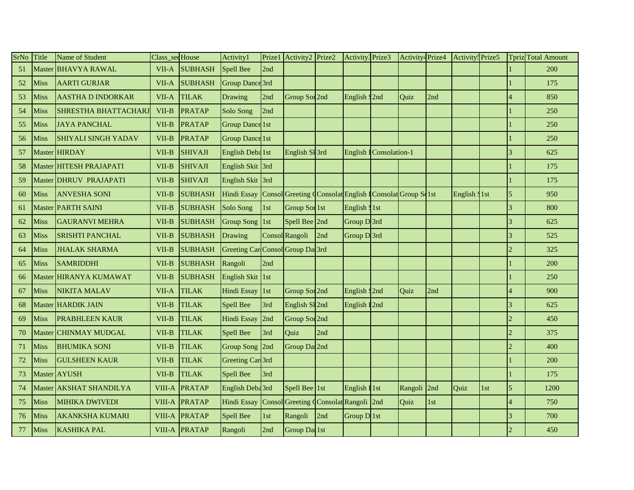| SrNo | Title       | Name of Student             | Class_secHouse |                | Activity1                         | Prize1      | Activity2 Prize2                                        |     | Activity3 Prize3          |                         | Activity <sup>4</sup> Prize4 |     | Activity: Prize5 |     |                             | Tpriz Total Amount |
|------|-------------|-----------------------------|----------------|----------------|-----------------------------------|-------------|---------------------------------------------------------|-----|---------------------------|-------------------------|------------------------------|-----|------------------|-----|-----------------------------|--------------------|
| 51   | Master      | <b>BHAVYA RAWAL</b>         | VII-A          | <b>SUBHASH</b> | <b>Spell Bee</b>                  | 2nd         |                                                         |     |                           |                         |                              |     |                  |     |                             | 200                |
| 52   | Miss        | <b>AARTI GURJAR</b>         | VII-A          | <b>SUBHASH</b> | <b>Group Dance 3rd</b>            |             |                                                         |     |                           |                         |                              |     |                  |     |                             | 175                |
| 53   | Miss        | <b>AASTHA D INDORKAR</b>    | VII-A          | <b>TILAK</b>   | Drawing                           | 2nd         | Group Sor 2nd                                           |     | English S2nd              |                         | Quiz                         | 2nd |                  |     |                             | 850                |
| 54   | Miss        | <b>SHRESTHA BHATTACHARJ</b> | VII-B          | <b>PRATAP</b>  | Solo Song                         | 2nd         |                                                         |     |                           |                         |                              |     |                  |     |                             | 250                |
| 55   | Miss        | <b>JAYA PANCHAL</b>         | VII-B          | <b>PRATAP</b>  | <b>Group Dance 1st</b>            |             |                                                         |     |                           |                         |                              |     |                  |     |                             | 250                |
| 56   | Miss        | <b>SHIYALI SINGH YADAV</b>  | VII-B          | <b>PRATAP</b>  | <b>Group Dance 1st</b>            |             |                                                         |     |                           |                         |                              |     |                  |     |                             | 250                |
| 57   |             | Master HIRDAY               | VII-B          | <b>SHIVAJI</b> | English Deba <sup>1st</sup>       |             | English SI 3rd                                          |     |                           | English I Consolation-1 |                              |     |                  |     | 3                           | 625                |
| 58   |             | Master HITESH PRAJAPATI     | VII-B          | SHIVAJI        | English Skit 3rd                  |             |                                                         |     |                           |                         |                              |     |                  |     |                             | 175                |
| 59   |             | Master DHRUV PRAJAPATI      | VII-B          | <b>SHIVAJI</b> | English Skit 3rd                  |             |                                                         |     |                           |                         |                              |     |                  |     |                             | 175                |
| 60   | Miss        | <b>ANVESHA SONI</b>         | VII-B          | <b>SUBHASH</b> | <b>Hindi Essay</b>                |             | Consol Greeting Consolat English I Consolat Group Solst |     |                           |                         |                              |     | English \$1st    |     | 5                           | 950                |
| 61   |             | Master PARTH SAINI          | VII-B          | <b>SUBHASH</b> | Solo Song                         | 1st         | Group Sor 1st                                           |     | English \$1st             |                         |                              |     |                  |     | 3                           | 800                |
| 62   | <b>Miss</b> | <b>GAURANVI MEHRA</b>       | VII-B          | <b>SUBHASH</b> | Group Song 1st                    |             | Spell Bee 2nd                                           |     | Group D3rd                |                         |                              |     |                  |     | $\overline{\mathcal{E}}$    | 625                |
| 63   | Miss        | <b>SRISHTI PANCHAL</b>      | VII-B          | <b>SUBHASH</b> | Drawing                           |             | Consol Rangoli                                          | 2nd | Group D3rd                |                         |                              |     |                  |     | 3                           | 525                |
| 64   | Miss        | <b>JHALAK SHARMA</b>        | VII-B          | <b>SUBHASH</b> | Greeting Car Consol Group Dal 3rd |             |                                                         |     |                           |                         |                              |     |                  |     | $\overline{2}$              | 325                |
| 65   | Miss        | <b>SAMRIDDHI</b>            | VII-B          | <b>SUBHASH</b> | Rangoli                           | 2nd         |                                                         |     |                           |                         |                              |     |                  |     |                             | 200                |
| 66   | Master      | HIRANYA KUMAWAT             | VII-B          | <b>SUBHASH</b> | <b>English Skit</b>               | $\vert$ 1st |                                                         |     |                           |                         |                              |     |                  |     |                             | 250                |
| 67   | Miss        | <b>NIKITA MALAV</b>         | VII-A          | <b>TILAK</b>   | Hindi Essay                       | 1st         | Group Sor 2nd                                           |     | English S <sub>2</sub> nd |                         | Quiz                         | 2nd |                  |     |                             | 900                |
| 68   | Master      | <b>HARDIK JAIN</b>          | VII-B          | <b>TILAK</b>   | <b>Spell Bee</b>                  | 3rd         | English SI 2nd                                          |     | English I2nd              |                         |                              |     |                  |     | $\overline{\mathcal{L}}$    | 625                |
| 69   | Miss        | <b>PRABHLEEN KAUR</b>       | VII-B          | <b>TILAK</b>   | Hindi Essay                       | 2nd         | Group Sor 2nd                                           |     |                           |                         |                              |     |                  |     | $\overline{2}$              | 450                |
| 70   |             | Master CHINMAY MUDGAL       | VII-B          | <b>TILAK</b>   | Spell Bee                         | 3rd         | Quiz                                                    | 2nd |                           |                         |                              |     |                  |     | $\overline{\mathcal{L}}$    | 375                |
| 71   | Miss        | <b>BHUMIKA SONI</b>         | VII-B          | <b>TILAK</b>   | Group Song 2nd                    |             | Group Da 2nd                                            |     |                           |                         |                              |     |                  |     | $\mathcal{D}_{\mathcal{A}}$ | 400                |
| 72   | Miss        | <b>GULSHEEN KAUR</b>        | VII-B          | <b>TILAK</b>   | Greeting Car <sup>3rd</sup>       |             |                                                         |     |                           |                         |                              |     |                  |     |                             | 200                |
| 73   |             | Master AYUSH                | VII-B          | <b>TILAK</b>   | Spell Bee                         | 3rd         |                                                         |     |                           |                         |                              |     |                  |     |                             | 175                |
| 74   |             | Master AKSHAT SHANDILYA     | <b>VIII-A</b>  | PRATAP         | English Deba <sup>3rd</sup>       |             | Spell Bee <sup>1st</sup>                                |     | English I 1st             |                         | Rangoli 2nd                  |     | Quiz             | 1st | 5                           | 1200               |
| 75   | Miss        | <b>MIHIKA DWIVEDI</b>       | VIII-A         | <b>PRATAP</b>  | <b>Hindi Essay</b>                |             | Consol Greeting Consolat Rangoli 2nd                    |     |                           |                         | Quiz                         | 1st |                  |     |                             | 750                |
| 76   | Miss        | <b>AKANKSHA KUMARI</b>      | VIII-A         | PRATAP         | Spell Bee                         | 1st         | Rangoli                                                 | 2nd | Group $D$ <sup>1st</sup>  |                         |                              |     |                  |     | 3                           | 700                |
| 77   | Miss        | <b>KASHIKA PAL</b>          |                | VIII-A PRATAP  | Rangoli                           | 2nd         | Group Dal 1st                                           |     |                           |                         |                              |     |                  |     | $\overline{2}$              | 450                |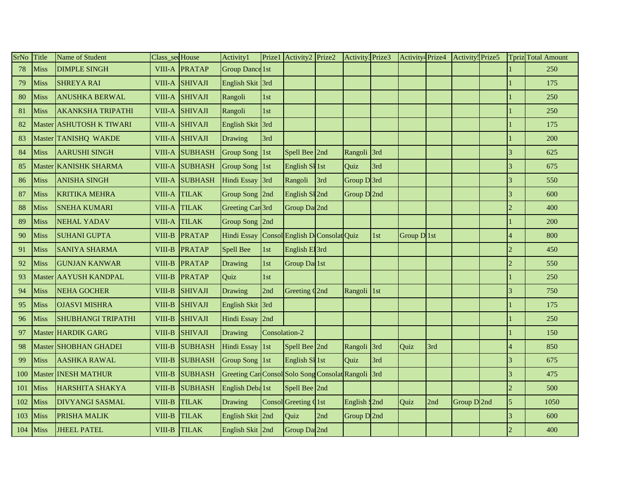| SrNo | Title       | Name of Student           | Class_sed House |                | Activity1                                      | Prize1        | Activity2 Prize2               |     | Activity3 Prize3 |     | Activity <sup>4</sup> Prize4 |     | Activity <sup>5</sup> Prize5 |                | <b>Tpriz</b> Total Amount |
|------|-------------|---------------------------|-----------------|----------------|------------------------------------------------|---------------|--------------------------------|-----|------------------|-----|------------------------------|-----|------------------------------|----------------|---------------------------|
| 78   | <b>Miss</b> | <b>DIMPLE SINGH</b>       |                 | VIII-A PRATAP  | <b>Group Dance 1st</b>                         |               |                                |     |                  |     |                              |     |                              |                | 250                       |
| 79   | Miss        | <b>SHREYA RAI</b>         | VIII-A          | <b>SHIVAJI</b> | English Skit 3rd                               |               |                                |     |                  |     |                              |     |                              |                | 175                       |
| 80   | Miss        | <b>ANUSHKA BERWAL</b>     | VIII-A          | <b>SHIVAJI</b> | Rangoli                                        | 1st           |                                |     |                  |     |                              |     |                              |                | 250                       |
| 81   | Miss        | <b>AKANKSHA TRIPATHI</b>  | VIII-A          | <b>SHIVAJI</b> | Rangoli                                        | 1st           |                                |     |                  |     |                              |     |                              |                | 250                       |
| 82   | Master      | <b>ASHUTOSH K TIWARI</b>  | <b>VIII-A</b>   | <b>SHIVAJI</b> | <b>English Skit</b>                            | 3rd           |                                |     |                  |     |                              |     |                              |                | 175                       |
| 83   |             | Master TANISHQ WAKDE      |                 | VIII-A SHIVAJI | Drawing                                        | 3rd           |                                |     |                  |     |                              |     |                              |                | 200                       |
| 84   | Miss        | <b>AARUSHI SINGH</b>      | VIII-A          | <b>SUBHASH</b> | Group Song 1st                                 |               | Spell Bee 2nd                  |     | Rangoli 3rd      |     |                              |     |                              | 3              | 625                       |
| 85   |             | Master KANISHK SHARMA     | VIII-A          | <b>SUBHASH</b> | Group Song 1st                                 |               | English SI 1st                 |     | Quiz             | 3rd |                              |     |                              |                | 675                       |
| 86   | Miss        | <b>ANISHA SINGH</b>       | VIII-A          | <b>SUBHASH</b> | Hindi Essay                                    | 3rd           | Rangoli                        | 3rd | Group D3rd       |     |                              |     |                              | 3              | 550                       |
| 87   | Miss        | <b>KRITIKA MEHRA</b>      | VIII-A          | <b>TILAK</b>   | Group Song 2nd                                 |               | English SI 2nd                 |     | Group $D$ 2nd    |     |                              |     |                              |                | 600                       |
| 88   | Miss        | <b>SNEHA KUMARI</b>       | VIII-A          | <b>TILAK</b>   | Greeting Car <sup>3rd</sup>                    |               | Group Dal <sub>2nd</sub>       |     |                  |     |                              |     |                              |                | 400                       |
| 89   | Miss        | <b>NEHAL YADAV</b>        | VIII-A          | <b>TILAK</b>   | Group Song 2nd                                 |               |                                |     |                  |     |                              |     |                              |                | 200                       |
| 90   | Miss        | <b>SUHANI GUPTA</b>       | VIII-B          | PRATAP         | Hindi Essay                                    |               | Consol English D Consolat Quiz |     |                  | 1st | Group D 1st                  |     |                              |                | 800                       |
| 91   | Miss        | <b>SANIYA SHARMA</b>      | VIII-B          | <b>PRATAP</b>  | Spell Bee                                      | 1st           | English El 3rd                 |     |                  |     |                              |     |                              | $\overline{2}$ | 450                       |
| 92   | Miss        | <b>GUNJAN KANWAR</b>      | VIII-B          | <b>PRATAP</b>  | Drawing                                        | 1st           | Group Dal 1st                  |     |                  |     |                              |     |                              | $\mathcal{D}$  | 550                       |
| 93   |             | Master AAYUSH KANDPAL     | VIII-B          | <b>PRATAP</b>  | Quiz                                           | 1st           |                                |     |                  |     |                              |     |                              |                | 250                       |
| 94   | Miss        | <b>NEHA GOCHER</b>        | VIII-B          | <b>SHIVAJI</b> | Drawing                                        | 2nd           | Greeting Q2nd                  |     | Rangoli          | 1st |                              |     |                              | 3              | 750                       |
| 95   | Miss        | <b>OJASVI MISHRA</b>      | VIII-B          | <b>SHIVAJI</b> | <b>English Skit</b>                            | 3rd           |                                |     |                  |     |                              |     |                              |                | 175                       |
| 96   | Miss        | <b>SHUBHANGI TRIPATHI</b> | VIII-B          | <b>SHIVAJI</b> | Hindi Essay                                    | 2nd           |                                |     |                  |     |                              |     |                              |                | 250                       |
| 97   |             | Master HARDIK GARG        | VIII-B          | <b>SHIVAJI</b> | Drawing                                        | Consolation-2 |                                |     |                  |     |                              |     |                              |                | 150                       |
| 98   |             | Master SHOBHAN GHADEI     | VIII-B          | <b>SUBHASH</b> | <b>Hindi Essay</b>                             | 1st           | Spell Bee 2nd                  |     | Rangoli 3rd      |     | Quiz                         | 3rd |                              |                | 850                       |
| 99   | Miss        | <b>AASHKA RAWAL</b>       | VIII-B          | <b>SUBHASH</b> | Group Song 1st                                 |               | English SI 1st                 |     | Quiz             | 3rd |                              |     |                              | $\overline{3}$ | 675                       |
| 100  | Master      | <b>INESH MATHUR</b>       | VIII-B          | <b>SUBHASH</b> | Greeting Car Consol Solo Song Consolat Rangoli |               |                                |     |                  | 3rd |                              |     |                              |                | 475                       |
| 101  | Miss        | <b>HARSHITA SHAKYA</b>    | VIII-B          | <b>SUBHASH</b> | English Deba <sup>1st</sup>                    |               | Spell Bee 2nd                  |     |                  |     |                              |     |                              | $\overline{2}$ | 500                       |
| 102  | Miss        | <b>DIVYANGI SASMAL</b>    | VIII-B          | <b>TILAK</b>   | Drawing                                        |               | Consol Greeting Q1st           |     | English S2nd     |     | Quiz                         | 2nd | Group D 2nd                  | 5              | 1050                      |
| 103  | Miss        | PRISHA MALIK              | VIII-B          | <b>TILAK</b>   | <b>English Skit</b>                            | 2nd           | Quiz                           | 2nd | Group D 2nd      |     |                              |     |                              |                | 600                       |
| 104  | <b>Miss</b> | <b>JHEEL PATEL</b>        | VIII-B          | <b>TILAK</b>   | English Skit 2nd                               |               | Group Dal <sub>2nd</sub>       |     |                  |     |                              |     |                              |                | 400                       |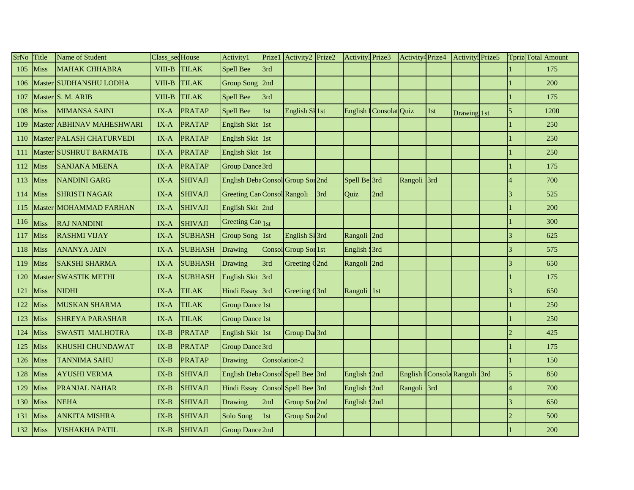| SrNo | Title       | Name of Student           | Class_secHouse |                | Activity1                         | Prize1        | Activity2 Prize2          |     | Activity3 Prize3          |                         | Activity <sup>4</sup> Prize4 |     | Activity <sup>5</sup> Prize5  |                          | <b>Tpriz</b> Total Amount |
|------|-------------|---------------------------|----------------|----------------|-----------------------------------|---------------|---------------------------|-----|---------------------------|-------------------------|------------------------------|-----|-------------------------------|--------------------------|---------------------------|
| 105  | <b>Miss</b> | <b>MAHAK CHHABRA</b>      | VIII-B         | <b>TILAK</b>   | <b>Spell Bee</b>                  | 3rd           |                           |     |                           |                         |                              |     |                               |                          | 175                       |
| 106  |             | Master SUDHANSHU LODHA    | VIII-B         | <b>TILAK</b>   | <b>Group Song</b>                 | 2nd           |                           |     |                           |                         |                              |     |                               |                          | 200                       |
| 107  |             | Master S. M. ARIB         | VIII-B         | <b>TILAK</b>   | <b>Spell Bee</b>                  | 3rd           |                           |     |                           |                         |                              |     |                               |                          | 175                       |
| 108  | Miss        | <b>MIMANSA SAINI</b>      | $IX-A$         | <b>PRATAP</b>  | <b>Spell Bee</b>                  | 1st           | English SI 1st            |     |                           | English I Consolat Quiz |                              | 1st | Drawing 1st                   | 5                        | 1200                      |
| 109  |             | Master ABHINAV MAHESHWARI | $IX-A$         | PRATAP         | <b>English Skit</b>               | $\vert$ 1st   |                           |     |                           |                         |                              |     |                               |                          | 250                       |
| 110  |             | Master PALASH CHATURVEDI  | $IX-A$         | <b>PRATAP</b>  | <b>English Skit</b>               | $\vert$ 1st   |                           |     |                           |                         |                              |     |                               |                          | 250                       |
| 111  |             | Master SUSHRUT BARMATE    | $IX-A$         | <b>PRATAP</b>  | <b>English Skit</b>               | $\vert$ 1st   |                           |     |                           |                         |                              |     |                               |                          | 250                       |
| 112  | Miss        | <b>SANJANA MEENA</b>      | $IX-A$         | <b>PRATAP</b>  | Group Dance 3rd                   |               |                           |     |                           |                         |                              |     |                               |                          | 175                       |
| 113  | Miss        | NANDINI GARG              | IX-A           | <b>SHIVAJI</b> | English Deba Consol Group Sor 2nd |               |                           |     | Spell Be 3rd              |                         | Rangoli 3rd                  |     |                               |                          | 700                       |
| 114  | Miss        | <b>SHRISTI NAGAR</b>      | $IX-A$         | <b>SHIVAJI</b> | Greeting Car Consol Rangoli       |               |                           | 3rd | Quiz                      | 2nd                     |                              |     |                               |                          | 525                       |
| 115  |             | Master MOHAMMAD FARHAN    | IX-A           | <b>SHIVAJI</b> | English Skit 2nd                  |               |                           |     |                           |                         |                              |     |                               |                          | 200                       |
| 116  | Miss        | <b>RAJ NANDINI</b>        | $IX-A$         | <b>SHIVAJI</b> | Greeting Car 1st                  |               |                           |     |                           |                         |                              |     |                               |                          | 300                       |
| 117  | Miss        | <b>RASHMI VIJAY</b>       | IX-A           | <b>SUBHASH</b> | <b>Group Song</b>                 | 1st           | English Sl 3rd            |     | Rangoli                   | 2nd                     |                              |     |                               |                          | 625                       |
| 118  | Miss        | <b>ANANYA JAIN</b>        | $IX-A$         | <b>SUBHASH</b> | Drawing                           |               | Consol Group Sor 1st      |     | English S3rd              |                         |                              |     |                               | $\overline{3}$           | 575                       |
| 119  | Miss        | <b>SAKSHI SHARMA</b>      | $IX-A$         | <b>SUBHASH</b> | Drawing                           | 3rd           | Greeting C <sub>2nd</sub> |     | Rangoli 2nd               |                         |                              |     |                               | $\mathbf{3}$             | 650                       |
| 120  |             | Master SWASTIK METHI      | IX-A           | <b>SUBHASH</b> | <b>English Skit</b>               | 3rd           |                           |     |                           |                         |                              |     |                               |                          | 175                       |
| 121  | Miss        | <b>NIDHI</b>              | $IX-A$         | <b>TILAK</b>   | Hindi Essay                       | 3rd           | Greeting C3rd             |     | Rangoli                   | 1st                     |                              |     |                               | 3                        | 650                       |
| 122  | Miss        | <b>MUSKAN SHARMA</b>      | $IX-A$         | <b>TILAK</b>   | <b>Group Dance 1st</b>            |               |                           |     |                           |                         |                              |     |                               |                          | 250                       |
| 123  | Miss        | <b>SHREYA PARASHAR</b>    | IX-A           | <b>TILAK</b>   | <b>Group Dance 1st</b>            |               |                           |     |                           |                         |                              |     |                               |                          | 250                       |
| 124  | Miss        | <b>SWASTI MALHOTRA</b>    | $IX-B$         | PRATAP         | English Skit 1st                  |               | Group Dal <sub>3rd</sub>  |     |                           |                         |                              |     |                               | $\overline{\mathcal{L}}$ | 425                       |
| 125  | Miss        | <b>KHUSHI CHUNDAWAT</b>   | $IX-B$         | PRATAP         | Group Dance 3rd                   |               |                           |     |                           |                         |                              |     |                               |                          | 175                       |
| 126  | Miss        | <b>TANNIMA SAHU</b>       | $IX-B$         | PRATAP         | Drawing                           | Consolation-2 |                           |     |                           |                         |                              |     |                               |                          | 150                       |
| 128  | Miss        | <b>AYUSHI VERMA</b>       | $IX-B$         | <b>SHIVAJI</b> | English Deba Consol Spell Bee 3rd |               |                           |     | English S2nd              |                         |                              |     | English I Consola Rangoli 3rd | 5                        | 850                       |
| 129  | Miss        | <b>PRANJAL NAHAR</b>      | $IX-B$         | <b>SHIVAJI</b> | <b>Hindi Essay</b>                |               | Consol Spell Bee 3rd      |     | English S <sub>2</sub> nd |                         | Rangoli 3rd                  |     |                               |                          | 700                       |
| 130  | Miss        | <b>NEHA</b>               | $IX-B$         | <b>SHIVAJI</b> | Drawing                           | 2nd           | Group Sor <sub>2nd</sub>  |     | English S2nd              |                         |                              |     |                               |                          | 650                       |
| 131  | Miss        | <b>ANKITA MISHRA</b>      | $IX-B$         | <b>SHIVAJI</b> | Solo Song                         | 1st           | Group Sor 2nd             |     |                           |                         |                              |     |                               | $\overline{2}$           | 500                       |
| 132  | <b>Miss</b> | <b>VISHAKHA PATIL</b>     | $IX-B$         | <b>SHIVAJI</b> | <b>Group Dance 2nd</b>            |               |                           |     |                           |                         |                              |     |                               |                          | 200                       |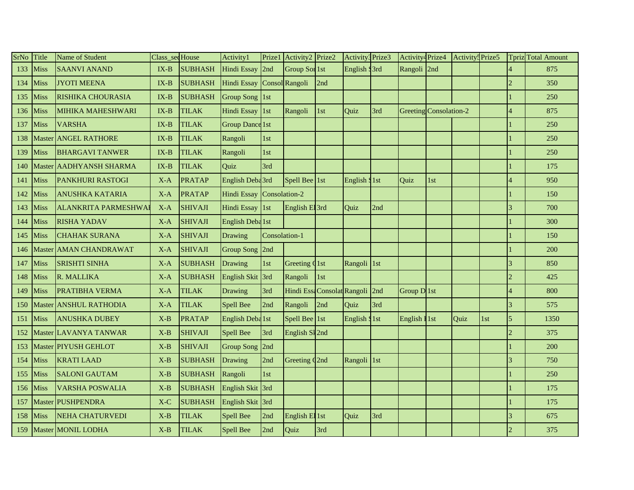| SrNo | Title  | Name of Student            | Class_sedHouse |                | Activity1                   | Prize1        | Activity2 Prize2            |     | Activity3 Prize3         |     | Activity <sup>4</sup> Prize4 |     | Activity <sup>5</sup> Prize5 |     |                | <b>Tpriz</b> Total Amount |
|------|--------|----------------------------|----------------|----------------|-----------------------------|---------------|-----------------------------|-----|--------------------------|-----|------------------------------|-----|------------------------------|-----|----------------|---------------------------|
| 133  | Miss   | <b>SAANVI ANAND</b>        | $IX-B$         | <b>SUBHASH</b> | <b>Hindi Essay</b>          | 2nd           | Group Sor 1st               |     | English S3rd             |     | Rangoli 2nd                  |     |                              |     |                | 875                       |
| 134  | Miss   | <b>JYOTI MEENA</b>         | $IX-B$         | <b>SUBHASH</b> | <b>Hindi Essay</b>          |               | Consol Rangoli              | 2nd |                          |     |                              |     |                              |     |                | 350                       |
| 135  | Miss   | RISHIKA CHOURASIA          | $IX-B$         | <b>SUBHASH</b> | Group Song 1st              |               |                             |     |                          |     |                              |     |                              |     |                | 250                       |
| 136  | Miss   | <b>MIHIKA MAHESHWARI</b>   | $IX-B$         | <b>TILAK</b>   | <b>Hindi Essay</b>          | $\vert$ 1st   | Rangoli                     | 1st | Quiz                     | 3rd | Greeting Consolation-2       |     |                              |     |                | 875                       |
| 137  | Miss   | <b>VARSHA</b>              | $IX-B$         | <b>TILAK</b>   | <b>Group Dance 1st</b>      |               |                             |     |                          |     |                              |     |                              |     |                | 250                       |
| 138  |        | Master ANGEL RATHORE       | $IX-B$         | <b>TILAK</b>   | Rangoli                     | 1st           |                             |     |                          |     |                              |     |                              |     |                | 250                       |
| 139  | Miss   | <b>BHARGAVI TANWER</b>     | $IX-B$         | <b>TILAK</b>   | Rangoli                     | 1st           |                             |     |                          |     |                              |     |                              |     |                | 250                       |
| 140  |        | Master   AADHY ANSH SHARMA | $IX-B$         | <b>TILAK</b>   | Quiz                        | 3rd           |                             |     |                          |     |                              |     |                              |     |                | 175                       |
| 141  | Miss   | <b>PANKHURI RASTOGI</b>    | $X-A$          | <b>PRATAP</b>  | English Deba <sup>3rd</sup> |               | Spell Bee 1st               |     | English S <sub>1st</sub> |     | Quiz                         | 1st |                              |     |                | 950                       |
| 142  | Miss   | <b>ANUSHKA KATARIA</b>     | $X-A$          | <b>PRATAP</b>  | Hindi Essay                 | Consolation-2 |                             |     |                          |     |                              |     |                              |     |                | 150                       |
| 143  | Miss   | <b>ALANKRITA PARMESHWA</b> | $X-A$          | <b>SHIVAJI</b> | Hindi Essay                 | $\vert$ 1st   | English El 3rd              |     | Ouiz                     | 2nd |                              |     |                              |     |                | 700                       |
| 144  | Miss   | <b>RISHA YADAV</b>         | $X-A$          | <b>SHIVAJI</b> | English Deba <sup>1st</sup> |               |                             |     |                          |     |                              |     |                              |     |                | 300                       |
| 145  | Miss   | <b>CHAHAK SURANA</b>       | $X-A$          | <b>SHIVAJI</b> | Drawing                     | Consolation-1 |                             |     |                          |     |                              |     |                              |     |                | 150                       |
| 146  |        | Master AMAN CHANDRAWAT     | $X-A$          | <b>SHIVAJI</b> | <b>Group Song</b>           | 2nd           |                             |     |                          |     |                              |     |                              |     |                | 200                       |
| 147  | Miss   | <b>SRISHTI SINHA</b>       | $X-A$          | <b>SUBHASH</b> | Drawing                     | 1st           | Greeting Q1st               |     | Rangoli 1st              |     |                              |     |                              |     |                | 850                       |
| 148  | Miss   | R. MALLIKA                 | $X-A$          | <b>SUBHASH</b> | <b>English Skit</b>         | 3rd           | Rangoli                     | 1st |                          |     |                              |     |                              |     |                | 425                       |
| 149  | Miss   | PRATIBHA VERMA             | $X-A$          | <b>TILAK</b>   | Drawing                     | 3rd           | Hindi Essa Consolat Rangoli |     |                          | 2nd | Group $D$ <sup>1st</sup>     |     |                              |     |                | 800                       |
| 150  |        | Master ANSHUL RATHODIA     | $X-A$          | <b>TILAK</b>   | <b>Spell Bee</b>            | 2nd           | Rangoli                     | 2nd | Quiz                     | 3rd |                              |     |                              |     |                | 575                       |
| 151  | Miss   | <b>ANUSHKA DUBEY</b>       | $X-B$          | <b>PRATAP</b>  | English Deba1st             |               | Spell Bee 1st               |     | English S <sub>1st</sub> |     | English I 1st                |     | Ouiz                         | 1st | 5              | 1350                      |
| 152  |        | Master LAVANYA TANWAR      | $X-B$          | <b>SHIVAJI</b> | Spell Bee                   | 3rd           | English SI 2nd              |     |                          |     |                              |     |                              |     |                | 375                       |
| 153  |        | Master PIYUSH GEHLOT       | $X-B$          | <b>SHIVAJI</b> | Group Song 2nd              |               |                             |     |                          |     |                              |     |                              |     |                | 200                       |
| 154  | Miss   | <b>KRATI LAAD</b>          | $X-B$          | <b>SUBHASH</b> | Drawing                     | 2nd           | Greeting C <sub>2nd</sub>   |     | Rangoli 1st              |     |                              |     |                              |     | $\overline{3}$ | 750                       |
| 155  | Miss   | <b>SALONI GAUTAM</b>       | $X-B$          | <b>SUBHASH</b> | Rangoli                     | 1st           |                             |     |                          |     |                              |     |                              |     |                | 250                       |
| 156  | Miss   | <b>VARSHA POSWALIA</b>     | $X-B$          | <b>SUBHASH</b> | English Skit 3rd            |               |                             |     |                          |     |                              |     |                              |     |                | 175                       |
| 157  | Master | <b>PUSHPENDRA</b>          | $X-C$          | <b>SUBHASH</b> | <b>English Skit</b>         | 3rd           |                             |     |                          |     |                              |     |                              |     |                | 175                       |
| 158  | Miss   | <b>NEHA CHATURVEDI</b>     | $X-B$          | <b>TILAK</b>   | <b>Spell Bee</b>            | 2nd           | English El 1st              |     | Quiz                     | 3rd |                              |     |                              |     |                | 675                       |
| 159  |        | Master MONIL LODHA         | $X-B$          | <b>TILAK</b>   | <b>Spell Bee</b>            | 2nd           | Quiz                        | 3rd |                          |     |                              |     |                              |     |                | 375                       |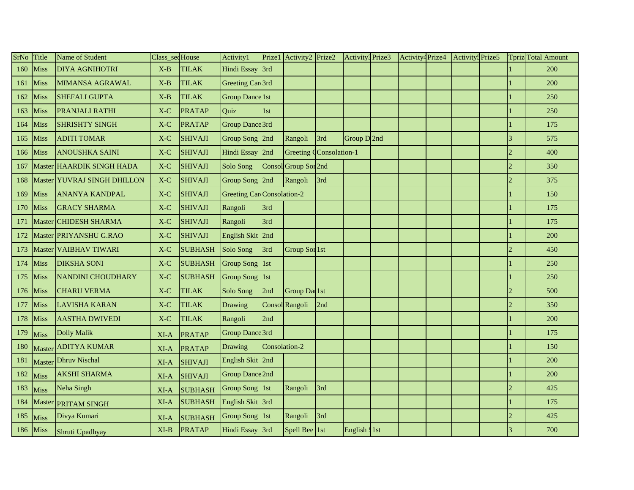| SrNo | Title       | Name of Student             | Class_secHouse |                | Activity1                         | Prize1        | Activity2 Prize2         |     | Activity3 Prize3         | Activity <sup>4</sup> Prize4 | Activity: Prize5 |                             | Tpriz Total Amount |
|------|-------------|-----------------------------|----------------|----------------|-----------------------------------|---------------|--------------------------|-----|--------------------------|------------------------------|------------------|-----------------------------|--------------------|
| 160  | <b>Miss</b> | <b>DIYA AGNIHOTRI</b>       | $X-B$          | <b>TILAK</b>   | Hindi Essay                       | 3rd           |                          |     |                          |                              |                  |                             | 200                |
| 161  | Miss        | <b>MIMANSA AGRAWAL</b>      | $X-B$          | <b>TILAK</b>   | Greeting Car <sup>3rd</sup>       |               |                          |     |                          |                              |                  |                             | 200                |
| 162  | Miss        | <b>SHEFALI GUPTA</b>        | $X-B$          | <b>TILAK</b>   | <b>Group Dance 1st</b>            |               |                          |     |                          |                              |                  |                             | 250                |
| 163  | Miss        | PRANJALI RATHI              | $X-C$          | <b>PRATAP</b>  | Quiz                              | 1st           |                          |     |                          |                              |                  |                             | 250                |
| 164  | Miss        | <b>SHRISHTY SINGH</b>       | $X-C$          | <b>PRATAP</b>  | Group Dance 3rd                   |               |                          |     |                          |                              |                  |                             | 175                |
| 165  | Miss        | <b>ADITI TOMAR</b>          | $X-C$          | <b>SHIVAJI</b> | Group Song 2nd                    |               | Rangoli                  | 3rd | Group D2nd               |                              |                  | 3                           | 575                |
| 166  | Miss        | <b>ANOUSHKA SAINI</b>       | $X-C$          | <b>SHIVAJI</b> | Hindi Essay                       | 2nd           | Greeting Consolation-1   |     |                          |                              |                  | $\mathcal{D}_{\mathcal{A}}$ | 400                |
| 167  |             | Master HAARDIK SINGH HADA   | X-C            | <b>SHIVAJI</b> | Solo Song                         | Conso         | Group Sor <sub>2nd</sub> |     |                          |                              |                  |                             | 350                |
| 168  |             | Master YUVRAJ SINGH DHILLON | $X-C$          | <b>SHIVAJI</b> | Group Song 2nd                    |               | Rangoli                  | 3rd |                          |                              |                  | $\overline{2}$              | 375                |
| 169  | Miss        | <b>ANANYA KANDPAL</b>       | X-C            | <b>SHIVAJI</b> | <b>Greeting Car</b> Consolation-2 |               |                          |     |                          |                              |                  |                             | 150                |
| 170  | Miss        | <b>GRACY SHARMA</b>         | $X-C$          | <b>SHIVAJI</b> | Rangoli                           | 3rd           |                          |     |                          |                              |                  |                             | 175                |
| 171  |             | Master CHIDESH SHARMA       | $X-C$          | <b>SHIVAJI</b> | Rangoli                           | 3rd           |                          |     |                          |                              |                  |                             | 175                |
| 172  |             | Master PRIYANSHU G.RAO      | X-C            | <b>SHIVAJI</b> | <b>English Skit</b>               | 2nd           |                          |     |                          |                              |                  |                             | 200                |
| 173  |             | Master VAIBHAV TIWARI       | $X-C$          | <b>SUBHASH</b> | Solo Song                         | 3rd           | Group Sor 1st            |     |                          |                              |                  | $\overline{2}$              | 450                |
| 174  | Miss        | <b>DIKSHA SONI</b>          | $X-C$          | <b>SUBHASH</b> | Group Song 1st                    |               |                          |     |                          |                              |                  |                             | 250                |
| 175  | Miss        | <b>NANDINI CHOUDHARY</b>    | X-C            | <b>SUBHASH</b> | <b>Group Song</b>                 | $\vert$ 1st   |                          |     |                          |                              |                  |                             | 250                |
| 176  | Miss        | <b>CHARU VERMA</b>          | $X-C$          | <b>TILAK</b>   | Solo Song                         | 2nd           | Group Dal 1st            |     |                          |                              |                  | $\overline{2}$              | 500                |
| 177  | Miss        | <b>LAVISHA KARAN</b>        | $X-C$          | <b>TILAK</b>   | Drawing                           |               | Consol Rangoli           | 2nd |                          |                              |                  | $\mathfrak{D}$              | 350                |
| 178  | Miss        | <b>AASTHA DWIVEDI</b>       | $X-C$          | <b>TILAK</b>   | Rangoli                           | 2nd           |                          |     |                          |                              |                  |                             | 200                |
| 179  | Miss        | <b>Dolly Malik</b>          | XI-A           | <b>PRATAP</b>  | Group Dance 3rd                   |               |                          |     |                          |                              |                  |                             | 175                |
| 180  |             | Master ADITYA KUMAR         | XI-A           | <b>PRATAP</b>  | Drawing                           | Consolation-2 |                          |     |                          |                              |                  |                             | 150                |
| 181  |             | Master Dhruv Nischal        | $XI-A$         | <b>SHIVAJI</b> | English Skit 2nd                  |               |                          |     |                          |                              |                  |                             | 200                |
| 182  | Miss        | <b>AKSHI SHARMA</b>         | XI-A           | <b>SHIVAJI</b> | <b>Group Dance 2nd</b>            |               |                          |     |                          |                              |                  |                             | 200                |
| 183  | Miss        | Neha Singh                  | XI-A           | <b>SUBHASH</b> | Group Song 1st                    |               | Rangoli                  | 3rd |                          |                              |                  | $\mathcal{D}_{\mathcal{A}}$ | 425                |
| 184  |             | Master PRITAM SINGH         | $XI-A$         | <b>SUBHASH</b> | English Skit 3rd                  |               |                          |     |                          |                              |                  |                             | 175                |
| 185  | Miss        | Divya Kumari                | XI-A           | <b>SUBHASH</b> | Group Song 1st                    |               | Rangoli                  | 3rd |                          |                              |                  | $\overline{2}$              | 425                |
| 186  | Miss        | Shruti Upadhyay             | $XI-B$         | <b>PRATAP</b>  | Hindi Essay 3rd                   |               | Spell Bee 1st            |     | English S <sub>1st</sub> |                              |                  | $\mathbf{3}$                | 700                |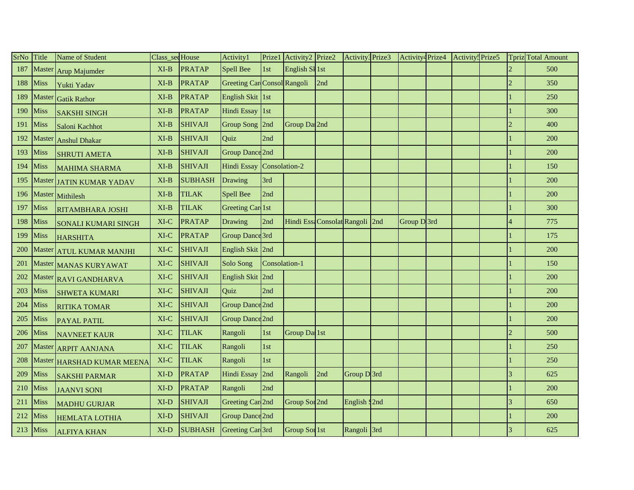| SrNo | Title       | Name of Student            | Class_seqHouse |                | Activity1                          | Prize1        | Activity2 Prize2                |     | Activity3 Prize3 | Activity <sup>4</sup> Prize4 | Activity: Prize5 |                          | <b>Tpriz</b> Total Amount |
|------|-------------|----------------------------|----------------|----------------|------------------------------------|---------------|---------------------------------|-----|------------------|------------------------------|------------------|--------------------------|---------------------------|
| 187  |             | Master Arup Majumder       | $XI-B$         | <b>PRATAP</b>  | Spell Bee                          | 1st           | English SI 1st                  |     |                  |                              |                  | $\overline{c}$           | 500                       |
| 188  | Miss        | Yukti Yadav                | $XI-B$         | <b>PRATAP</b>  | <b>Greeting Car Consol Rangoli</b> |               |                                 | 2nd |                  |                              |                  | $\overline{2}$           | 350                       |
| 189  | Master      | <b>Gatik Rathor</b>        | $XI-B$         | <b>PRATAP</b>  | English Skit 1st                   |               |                                 |     |                  |                              |                  |                          | 250                       |
| 190  | Miss        | <b>SAKSHI SINGH</b>        | $XI-B$         | <b>PRATAP</b>  | <b>Hindi Essay</b>                 | $\vert$ 1st   |                                 |     |                  |                              |                  |                          | 300                       |
| 191  | Miss        | Saloni Kachhot             | $XI-B$         | <b>SHIVAJI</b> | <b>Group Song</b>                  | 2nd           | Group Da 2nd                    |     |                  |                              |                  | $\mathfrak{D}$           | 400                       |
| 192  | Master      | <b>Anshul Dhakar</b>       | $XI-B$         | <b>SHIVAJI</b> | Quiz                               | 2nd           |                                 |     |                  |                              |                  |                          | 200                       |
| 193  | Miss        | <b>SHRUTI AMETA</b>        | $XI-B$         | <b>SHIVAJI</b> | Group Dance 2nd                    |               |                                 |     |                  |                              |                  |                          | 200                       |
| 194  | Miss        | <b>MAHIMA SHARMA</b>       | $XI-B$         | <b>SHIVAJI</b> | <b>Hindi Essay</b>                 | Consolation-2 |                                 |     |                  |                              |                  |                          | 150                       |
| 195  |             | Master JATIN KUMAR YADAV   | $XI-B$         | <b>SUBHASH</b> | Drawing                            | 3rd           |                                 |     |                  |                              |                  |                          | 200                       |
| 196  |             | Master Mithilesh           | $XI-B$         | <b>TILAK</b>   | Spell Bee                          | 2nd           |                                 |     |                  |                              |                  |                          | 200                       |
| 197  | Miss        | RITAMBHARA JOSHI           | $XI-B$         | <b>TILAK</b>   | <b>Greeting Car 1st</b>            |               |                                 |     |                  |                              |                  |                          | 300                       |
| 198  | Miss        | <b>SONALI KUMARI SINGH</b> | XI-C           | <b>PRATAP</b>  | Drawing                            | 2nd           | Hindi Essa Consolat Rangoli 2nd |     |                  | Group D 3rd                  |                  |                          | 775                       |
| 199  | Miss        | <b>HARSHITA</b>            | XI-C           | <b>PRATAP</b>  | Group Dance 3rd                    |               |                                 |     |                  |                              |                  |                          | 175                       |
| 200  |             | Master ATUL KUMAR MANJHI   | $XI-C$         | <b>SHIVAJI</b> | English Skit 2nd                   |               |                                 |     |                  |                              |                  |                          | 200                       |
| 201  |             | Master MANAS KURYAWAT      | XI-C           | <b>SHIVAJI</b> | Solo Song                          | Consolation-1 |                                 |     |                  |                              |                  |                          | 150                       |
| 202  |             | Master RAVI GANDHARVA      | XI-C           | <b>SHIVAJI</b> | <b>English Skit</b>                | 2nd           |                                 |     |                  |                              |                  |                          | 200                       |
| 203  | Miss        | <b>SHWETA KUMARI</b>       | XI-C           | <b>SHIVAJI</b> | Quiz                               | 2nd           |                                 |     |                  |                              |                  |                          | 200                       |
| 204  | <b>Miss</b> | <b>RITIKA TOMAR</b>        | $XI-C$         | <b>SHIVAJI</b> | Group Dance 2nd                    |               |                                 |     |                  |                              |                  |                          | 200                       |
| 205  | Miss        | <b>PAYAL PATIL</b>         | $XI-C$         | <b>SHIVAJI</b> | Group Dance 2nd                    |               |                                 |     |                  |                              |                  |                          | 200                       |
| 206  | Miss        | <b>NAVNEET KAUR</b>        | XI-C           | <b>TILAK</b>   | Rangoli                            | 1st           | Group Dal <sub>1st</sub>        |     |                  |                              |                  | $\overline{\mathcal{L}}$ | 500                       |
| 207  |             | Master ARPIT AANJANA       | XI-C           | <b>TILAK</b>   | Rangoli                            | 1st           |                                 |     |                  |                              |                  |                          | 250                       |
| 208  | Master      | <b>HARSHAD KUMAR MEENA</b> | XI-C           | <b>TILAK</b>   | Rangoli                            | 1st           |                                 |     |                  |                              |                  |                          | 250                       |
| 209  | Miss        | <b>SAKSHI PARMAR</b>       | XI-D           | <b>PRATAP</b>  | <b>Hindi Essay</b>                 | 2nd           | Rangoli                         | 2nd | Group D3rd       |                              |                  | 3                        | 625                       |
| 210  | Miss        | <b>JAANVI SONI</b>         | XI-D           | <b>PRATAP</b>  | Rangoli                            | 2nd           |                                 |     |                  |                              |                  |                          | 200                       |
| 211  | Miss        | <b>MADHU GURJAR</b>        | $XI-D$         | <b>SHIVAJI</b> | Greeting Car 2nd                   |               | Group Sor 2nd                   |     | English S2nd     |                              |                  | $\overline{\mathcal{E}}$ | 650                       |
| 212  | <b>Miss</b> | <b>HEMLATA LOTHIA</b>      | XI-D           | <b>SHIVAJI</b> | Group Dance 2nd                    |               |                                 |     |                  |                              |                  |                          | 200                       |
| 213  | <b>Miss</b> | <b>ALFIYA KHAN</b>         | $XI-D$         | <b>SUBHASH</b> | Greeting Car 3rd                   |               | Group Sor 1st                   |     | Rangoli 3rd      |                              |                  | 3                        | 625                       |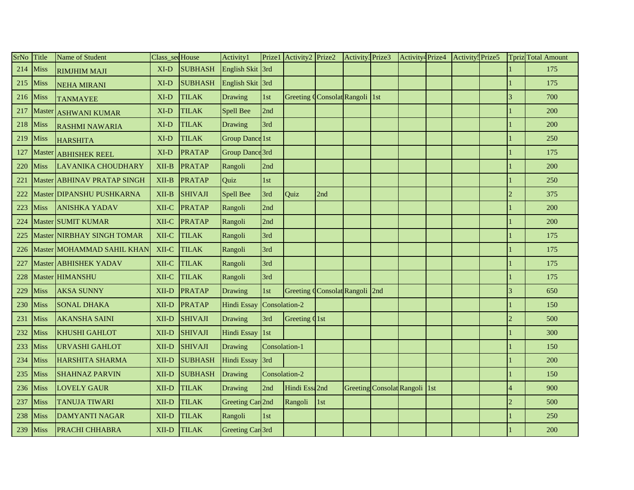| <b>SrNo</b> | Title       | Name of Student             | Class sec House |                | Activity1              | Prize1        | Activity2 Prize2              |     | Activity <sup>3</sup> Prize3 |                               | Activity <sup>4</sup> Prize4 | Activity <sup>5</sup> Prize5 |                        | Tpriz Total Amount |
|-------------|-------------|-----------------------------|-----------------|----------------|------------------------|---------------|-------------------------------|-----|------------------------------|-------------------------------|------------------------------|------------------------------|------------------------|--------------------|
| 214         | <b>Miss</b> | <b>RIMJHIM MAJI</b>         | $XI-D$          | <b>SUBHASH</b> | English Skit 3rd       |               |                               |     |                              |                               |                              |                              |                        | 175                |
| 215         | Miss        | <b>NEHA MIRANI</b>          | $XI-D$          | <b>SUBHASH</b> | English Skit 3rd       |               |                               |     |                              |                               |                              |                              |                        | 175                |
| 216         | Miss        | <b>TANMAYEE</b>             | $XI-D$          | <b>TILAK</b>   | Drawing                | 1st           | Greeting Consolat Rangoli 1st |     |                              |                               |                              |                              |                        | 700                |
| 217         |             | Master ASHWANI KUMAR        | XI-D            | <b>TILAK</b>   | <b>Spell Bee</b>       | 2nd           |                               |     |                              |                               |                              |                              |                        | 200                |
| 218         | Miss        | <b>RASHMI NAWARIA</b>       | XI-D            | <b>TILAK</b>   | Drawing                | 3rd           |                               |     |                              |                               |                              |                              |                        | 200                |
| 219         | <b>Miss</b> | <b>HARSHITA</b>             | $XI-D$          | <b>TILAK</b>   | <b>Group Dance 1st</b> |               |                               |     |                              |                               |                              |                              |                        | 250                |
| 127         | Master      | <b>ABHISHEK REEL</b>        | $XI-D$          | <b>PRATAP</b>  | Group Dance 3rd        |               |                               |     |                              |                               |                              |                              |                        | 175                |
| 220         | Miss        | <b>LAVANIKA CHOUDHARY</b>   | $XII-B$         | <b>PRATAP</b>  | Rangoli                | 2nd           |                               |     |                              |                               |                              |                              |                        | 200                |
| 221         |             | Master ABHINAV PRATAP SINGH | XII-B           | <b>PRATAP</b>  | Quiz                   | 1st           |                               |     |                              |                               |                              |                              |                        | 250                |
| 222         |             | Master DIPANSHU PUSHKARNA   | $XII-B$         | <b>SHIVAJI</b> | <b>Spell Bee</b>       | 3rd           | Quiz                          | 2nd |                              |                               |                              |                              |                        | 375                |
| 223         | Miss        | <b>ANISHKA YADAV</b>        | XII-C           | <b>PRATAP</b>  | Rangoli                | 2nd           |                               |     |                              |                               |                              |                              |                        | 200                |
| 224         |             | Master SUMIT KUMAR          | XII-C           | PRATAP         | Rangoli                | 2nd           |                               |     |                              |                               |                              |                              |                        | 200                |
| 225         |             | Master NIRBHAY SINGH TOMAR  | XII-C           | <b>TILAK</b>   | Rangoli                | 3rd           |                               |     |                              |                               |                              |                              |                        | 175                |
| 226         |             | Master MOHAMMAD SAHIL KHAN  | XII-C           | <b>TILAK</b>   | Rangoli                | 3rd           |                               |     |                              |                               |                              |                              |                        | 175                |
| 227         |             | Master ABHISHEK YADAV       | XII-C           | <b>TILAK</b>   | Rangoli                | 3rd           |                               |     |                              |                               |                              |                              |                        | 175                |
| 228         |             | Master HIMANSHU             | XII-C           | <b>TILAK</b>   | Rangoli                | 3rd           |                               |     |                              |                               |                              |                              |                        | 175                |
| 229         | Miss        | <b>AKSA SUNNY</b>           | XII-D           | PRATAP         | Drawing                | 1st           | Greeting Consolat Rangoli 2nd |     |                              |                               |                              |                              | $\overline{3}$         | 650                |
| 230         | Miss        | <b>SONAL DHAKA</b>          | XII-D           | PRATAP         | <b>Hindi Essay</b>     | Consolation-2 |                               |     |                              |                               |                              |                              |                        | 150                |
| 231         | Miss        | <b>AKANSHA SAINI</b>        | XII-D           | <b>SHIVAJI</b> | Drawing                | 3rd           | Greeting Q1st                 |     |                              |                               |                              |                              | $\overline{2}$         | 500                |
| 232         | Miss        | <b>KHUSHI GAHLOT</b>        | XII-D           | <b>SHIVAJI</b> | Hindi Essay            | 1st           |                               |     |                              |                               |                              |                              |                        | 300                |
| 233         | Miss        | URVASHI GAHLOT              | XII-D           | <b>SHIVAJI</b> | Drawing                | Consolation-1 |                               |     |                              |                               |                              |                              |                        | 150                |
| 234         | Miss        | <b>HARSHITA SHARMA</b>      | XII-D           | <b>SUBHASH</b> | Hindi Essay            | 3rd           |                               |     |                              |                               |                              |                              |                        | 200                |
| 235         | Miss        | <b>SHAHNAZ PARVIN</b>       | XII-D           | <b>SUBHASH</b> | Drawing                | Consolation-2 |                               |     |                              |                               |                              |                              |                        | 150                |
| 236         | <b>Miss</b> | <b>LOVELY GAUR</b>          | XII-D           | <b>TILAK</b>   | Drawing                | 2nd           | Hindi Essa2nd                 |     |                              | Greeting Consolat Rangoli 1st |                              |                              |                        | 900                |
| 237         | Miss        | <b>TANUJA TIWARI</b>        | XII-D           | <b>TILAK</b>   | Greeting Car 2nd       |               | Rangoli                       | 1st |                              |                               |                              |                              | $\mathcal{D}_{\alpha}$ | 500                |
| 238         | Miss        | <b>DAMYANTI NAGAR</b>       | XII-D           | <b>TILAK</b>   | Rangoli                | 1st           |                               |     |                              |                               |                              |                              |                        | 250                |
| 239         | <b>Miss</b> | <b>PRACHI CHHABRA</b>       | XII-D           | <b>TILAK</b>   | Greeting Car 3rd       |               |                               |     |                              |                               |                              |                              |                        | 200                |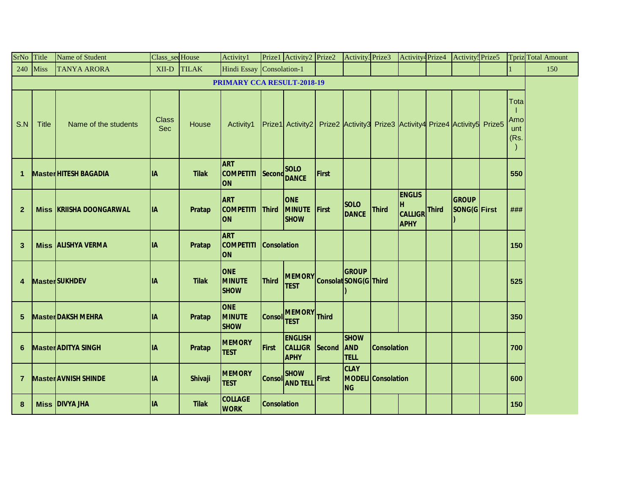| SrNo Title      |              | Name of Student                | Class_secHouse             |              | Activity1                                   |                    | Prize1 Activity2 Prize2                                                    |              | Activity3 Prize3                         |                           | Activity <sup>4</sup> Prize4                       | Activity <sup>5</sup> Prize5 |                             | <b>Tpriz</b> Total Amount |
|-----------------|--------------|--------------------------------|----------------------------|--------------|---------------------------------------------|--------------------|----------------------------------------------------------------------------|--------------|------------------------------------------|---------------------------|----------------------------------------------------|------------------------------|-----------------------------|---------------------------|
|                 | $240$ Miss   | <b>TANYA ARORA</b>             | XII-D TILAK                |              | Hindi Essay Consolation-1                   |                    |                                                                            |              |                                          |                           |                                                    |                              |                             | 150                       |
|                 |              |                                |                            |              | <b>PRIMARY CCA RESULT-2018-19</b>           |                    |                                                                            |              |                                          |                           |                                                    |                              |                             |                           |
| S.N             | <b>Title</b> | Name of the students           | <b>Class</b><br><b>Sec</b> | House        | Activity1                                   |                    | Prize1 Activity2 Prize2 Activity3 Prize3 Activity4 Prize4 Activity5 Prize5 |              |                                          |                           |                                                    |                              | Total<br>Amo<br>unt<br>(Rs. |                           |
| 1               |              | <b>MasterHITESH BAGADIA</b>    | <b>IIA</b>                 | <b>Tilak</b> | <b>ART</b><br><b>COMPETITI</b><br><b>ON</b> |                    | <b>SOLO</b><br>Second DANCE                                                | First        |                                          |                           |                                                    |                              | 550                         |                           |
| $\overline{2}$  |              | <b>Miss KRIISHA DOONGARWAL</b> | <b>IA</b>                  | Pratap       | <b>ART</b><br><b>COMPETITI</b><br><b>ON</b> | Third              | <b>ONE</b><br><b>MINUTE</b><br><b>SHOW</b>                                 | First        | <b>SOLO</b><br><b>DANCE</b>              | <b>Third</b>              | <b>ENGLIS</b><br>H<br>CALLIGR Third<br><b>APHY</b> | <b>GROUP</b><br>SONG(G First | ###                         |                           |
| $\mathbf{3}$    |              | <b>Miss ALISHYA VERMA</b>      | <b>IIA</b>                 | Pratap       | <b>ART</b><br><b>COMPETITI</b><br><b>ON</b> | <b>Consolation</b> |                                                                            |              |                                          |                           |                                                    |                              | 150                         |                           |
| 4               |              | <b>MasterSUKHDEV</b>           | <b>IA</b>                  | <b>Tilak</b> | <b>ONE</b><br><b>MINUTE</b><br><b>SHOW</b>  | <b>Third</b>       | MEMORY Consolat SONG(G Third                                               |              | <b>GROUP</b>                             |                           |                                                    |                              | 525                         |                           |
| $5\phantom{.0}$ |              | <b>Master DAKSH MEHRA</b>      | <b>IA</b>                  | Pratap       | <b>ONE</b><br><b>MINUTE</b><br><b>SHOW</b>  | Consol TEST        | <b>MEMORY</b>                                                              | <b>Third</b> |                                          |                           |                                                    |                              | 350                         |                           |
| 6               |              | <b>Master ADITYA SINGH</b>     | <b>IA</b>                  | Pratap       | <b>MEMORY</b><br><b>TEST</b>                | First              | <b>ENGLISH</b><br><b>CALLIGR</b><br><b>APHY</b>                            | Second       | <b>SHOW</b><br><b>AND</b><br><b>TELL</b> | <b>Consolation</b>        |                                                    |                              | 700                         |                           |
| $\overline{7}$  |              | <b>Master AVNISH SHINDE</b>    | <b>IA</b>                  | Shivaji      | <b>MEMORY</b><br><b>TEST</b>                |                    | Consol SHOW<br>Consol AND TELL First                                       |              | <b>CLAY</b><br><b>NG</b>                 | <b>MODELI</b> Consolation |                                                    |                              | 600                         |                           |
| 8               |              | <b>Miss DIVYA JHA</b>          | <b>IA</b>                  | <b>Tilak</b> | <b>COLLAGE</b><br><b>WORK</b>               | <b>Consolation</b> |                                                                            |              |                                          |                           |                                                    |                              | 150                         |                           |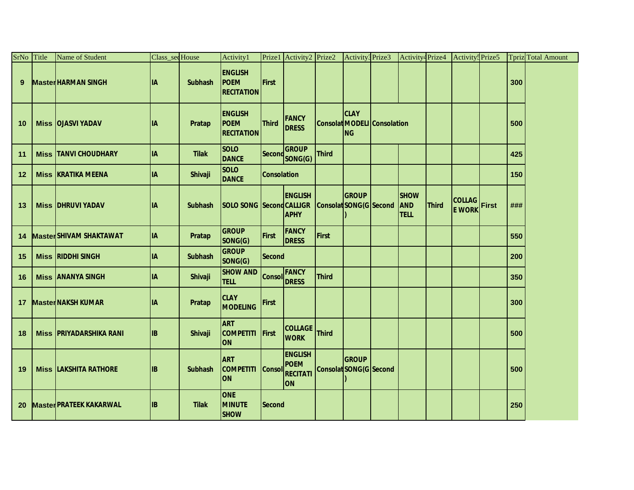| SrNo Title | Name of Student                | Class_secHouse |                | Activity1                                   |                    | Prize1 Activity2 Prize2                                       |              | Activity <sup>3</sup> Prize3                                   | Activity <sup>4</sup> Prize4             |              | Activity <sup>5</sup> Prize5   |       |     | <b>Tpriz</b> Total Amount |
|------------|--------------------------------|----------------|----------------|---------------------------------------------|--------------------|---------------------------------------------------------------|--------------|----------------------------------------------------------------|------------------------------------------|--------------|--------------------------------|-------|-----|---------------------------|
| 9          | <b>MasterHARMAN SINGH</b>      | <b>IIA</b>     | <b>Subhash</b> | <b>ENGLISH</b><br>POEM<br><b>RECITATION</b> | First              |                                                               |              |                                                                |                                          |              |                                |       | 300 |                           |
| 10         | <b>Miss   OJASVI YADAV</b>     | lіА            | Pratap         | <b>ENGLISH</b><br>POEM<br><b>RECITATION</b> | Third              | <b>FANCY</b><br><b>DRESS</b>                                  |              | <b>CLAY</b><br><b>Consolat MODELI Consolation</b><br><b>NG</b> |                                          |              |                                |       | 500 |                           |
| 11         | <b>Miss TANVI CHOUDHARY</b>    | <b>IA</b>      | <b>Tilak</b>   | <b>SOLO</b><br><b>DANCE</b>                 |                    | <b>GROUP</b><br>Second SONG(G)                                | <b>Third</b> |                                                                |                                          |              |                                |       | 425 |                           |
| $12 \,$    | <b>Miss KRATIKA MEENA</b>      | <b>IA</b>      | Shivaji        | <b>SOLO</b><br><b>DANCE</b>                 | <b>Consolation</b> |                                                               |              |                                                                |                                          |              |                                |       | 150 |                           |
| 13         | <b>Miss DHRUVI YADAV</b>       | lіA            | <b>Subhash</b> | SOLO SONG Second CALLIGR                    |                    | <b>ENGLISH</b><br><b>APHY</b>                                 |              | <b>GROUP</b><br>Consolat SONG(G Second                         | <b>SHOW</b><br><b>AND</b><br><b>TELL</b> | <b>Third</b> | <b>COLLAG</b><br><b>E WORK</b> | First | ### |                           |
| 14         | <b>Master SHIVAM SHAKTAWAT</b> | <b>IA</b>      | Pratap         | <b>GROUP</b><br>SONG(G)                     | First              | <b>FANCY</b><br><b>DRESS</b>                                  | First        |                                                                |                                          |              |                                |       | 550 |                           |
| 15         | <b>Miss RIDDHI SINGH</b>       | <b>IA</b>      | <b>Subhash</b> | <b>GROUP</b><br>SONG(G)                     | Second             |                                                               |              |                                                                |                                          |              |                                |       | 200 |                           |
| 16         | <b>Miss ANANYA SINGH</b>       | <b>IA</b>      | Shivaji        | <b>SHOW AND</b><br><b>TELL</b>              |                    | FANCY<br>Consol DRESS                                         | <b>Third</b> |                                                                |                                          |              |                                |       | 350 |                           |
| 17         | <b>Master NAKSH KUMAR</b>      | <b>IIA</b>     | Pratap         | <b>CLAY</b><br><b>MODELING</b>              | First              |                                                               |              |                                                                |                                          |              |                                |       | 300 |                           |
| 18         | <b>Miss PRIYADARSHIKA RANI</b> | <b>IB</b>      | Shivaji        | <b>ART</b><br><b>COMPETITI</b><br><b>ON</b> | First              | <b>COLLAGE</b><br><b>WORK</b>                                 | <b>Third</b> |                                                                |                                          |              |                                |       | 500 |                           |
| 19         | <b>Miss LAKSHITA RATHORE</b>   | <b>IB</b>      | <b>Subhash</b> | <b>ART</b><br><b>COMPETITI</b><br><b>ON</b> | <b>Consol</b>      | <b>ENGLISH</b><br><b>POEM</b><br><b>RECITATI</b><br><b>ON</b> |              | GROUP<br><b>Consolat SONG(G Second</b>                         |                                          |              |                                |       | 500 |                           |
| 20         | <b>Master PRATEEK KAKARWAL</b> | <b>IB</b>      | <b>Tilak</b>   | <b>ONE</b><br><b>MINUTE</b><br><b>SHOW</b>  | <b>Second</b>      |                                                               |              |                                                                |                                          |              |                                |       | 250 |                           |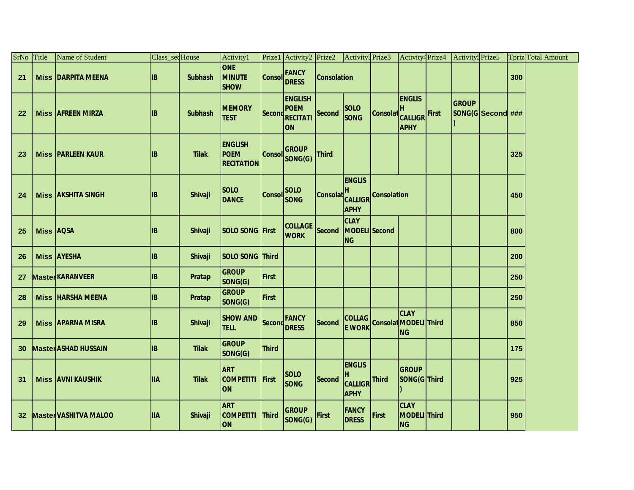| SrNo Title |                  | Name of Student              | Class_sedHouse  |                | Activity1                                          |              | Prize1 Activity2 Prize2 Activity3 Prize3                           |                    |                                                                   |                               |                                          | Activity4Prize4 Activity5Prize5   |     | Tpriz Total Amount |
|------------|------------------|------------------------------|-----------------|----------------|----------------------------------------------------|--------------|--------------------------------------------------------------------|--------------------|-------------------------------------------------------------------|-------------------------------|------------------------------------------|-----------------------------------|-----|--------------------|
| 21         |                  | <b>Miss DARPITA MEENA</b>    | <b>IB</b>       | <b>Subhash</b> | <b>ONE</b><br><b>MINUTE</b><br><b>SHOW</b>         |              | <b>Consol FANCY</b>                                                | <b>Consolation</b> |                                                                   |                               |                                          |                                   | 300 |                    |
| 22         |                  | <b>Miss AFREEN MIRZA</b>     | <b>IIB</b>      | <b>Subhash</b> | <b>MEMORY</b><br><b>TEST</b>                       |              | <b>ENGLISH</b><br>POEM<br>Second RECITATI Second SONG<br><b>ON</b> |                    | <b>SOLO</b>                                                       | <b>Consolat</b> CALLIGR First | <b>ENGLIS</b><br><b>APHY</b>             | <b>GROUP</b><br>SONG(G Second ### |     |                    |
| 23         |                  | <b>Miss PARLEEN KAUR</b>     | $\overline{AB}$ | <b>Tilak</b>   | <b>ENGLISH</b><br><b>POEM</b><br><b>RECITATION</b> |              | <b>GROUP</b><br>Consol SONG(G) Third                               |                    |                                                                   |                               |                                          |                                   | 325 |                    |
| 24         |                  | <b>Miss AKSHITA SINGH</b>    | IB              | Shivaji        | <b>SOLO</b><br><b>DANCE</b>                        | Consol SOLO  |                                                                    |                    | <b>ENGLIS</b><br>Consolat H<br>CALLIGR Consolation<br><b>APHY</b> |                               |                                          |                                   | 450 |                    |
| 25         | <b>Miss AQSA</b> |                              | <b>IB</b>       | <b>Shivaji</b> | <b>SOLO SONG First</b>                             |              | <b>COLLAGE</b><br><b>WORK</b>                                      | Second             | <b>CLAY</b><br>MODELI Second<br><b>NG</b>                         |                               |                                          |                                   | 800 |                    |
| 26         |                  | <b>Miss AYESHA</b>           | <b>IB</b>       | <b>Shivaji</b> | SOLO SONG Third                                    |              |                                                                    |                    |                                                                   |                               |                                          |                                   | 200 |                    |
| 27         |                  | <b>MasterKARANVEER</b>       | <b>IB</b>       | Pratap         | <b>GROUP</b><br>SONG(G)                            | First        |                                                                    |                    |                                                                   |                               |                                          |                                   | 250 |                    |
| 28         |                  | <b>Miss HARSHA MEENA</b>     | <b>IB</b>       | <b>Pratap</b>  | <b>GROUP</b><br>SONG(G)                            | First        |                                                                    |                    |                                                                   |                               |                                          |                                   | 250 |                    |
| 29         |                  | <b>Miss APARNA MISRA</b>     | <b>IB</b>       | Shivaji        | SHOW AND Second FANCY                              |              |                                                                    |                    | Second COLLAG Consolat MODELI Third                               |                               | <b>CLAY</b><br><b>ING</b>                |                                   | 850 |                    |
| 30         |                  | <b>Master ASHAD HUSSAIN</b>  | <b>IIB</b>      | <b>Tilak</b>   | <b>GROUP</b><br>SONG(G)                            | <b>Third</b> |                                                                    |                    |                                                                   |                               |                                          |                                   | 175 |                    |
| 31         |                  | <b>Miss AVNI KAUSHIK</b>     | <b>IIA</b>      | <b>Tilak</b>   | <b>ART</b><br>COMPETITI First<br><b>ON</b>         |              | <b>SOLO</b><br><b>SONG</b>                                         | Second             | <b>ENGLIS</b><br>H<br>CALLIGR Third<br><b>APHY</b>                |                               | <b>GROUP</b><br>SONG(G Third             |                                   | 925 |                    |
| 32         |                  | <b>Master VASHITVA MALOO</b> | <b>IIA</b>      | Shivaji        | <b>ART</b><br>COMPETITI Third<br><b>ON</b>         |              | GROUP<br>SONG(G) First                                             |                    | <b>FANCY</b><br><b>DRESS</b>                                      | First                         | <b>CLAY</b><br>MODELI Third<br><b>NG</b> |                                   | 950 |                    |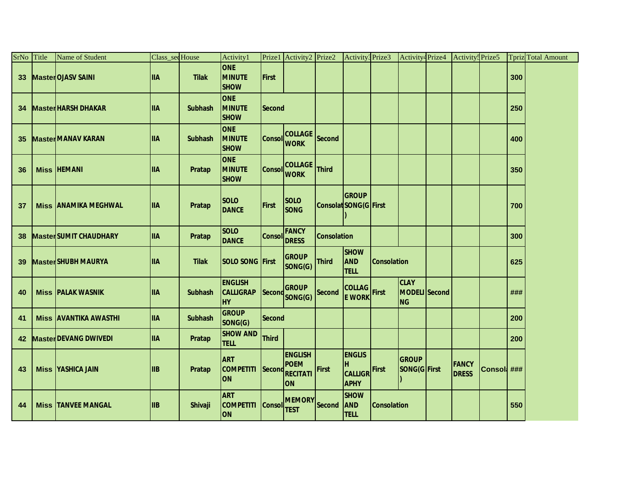| SrNo Title      | Name of Student               | Class_secHouse |                | Activity1                                       |               | Prize1 Activity2 Prize2                                |                    | Activity <sup>3</sup> Prize3                                  |                    | Activity <sup>4</sup> Prize4              | Activity <sup>5</sup> Prize5 |             |     | <b>Tpriz</b> Total Amount |
|-----------------|-------------------------------|----------------|----------------|-------------------------------------------------|---------------|--------------------------------------------------------|--------------------|---------------------------------------------------------------|--------------------|-------------------------------------------|------------------------------|-------------|-----|---------------------------|
| 33 <sup>°</sup> | Master OJASV SAINI            | <b>IIA</b>     | <b>Tilak</b>   | <b>ONE</b><br><b>MINUTE</b><br><b>SHOW</b>      | <b>First</b>  |                                                        |                    |                                                               |                    |                                           |                              |             | 300 |                           |
| 34              | <b>MasterHARSH DHAKAR</b>     | <b>IIIA</b>    | <b>Subhash</b> | <b>ONE</b><br><b>MINUTE</b><br><b>SHOW</b>      | <b>Second</b> |                                                        |                    |                                                               |                    |                                           |                              |             | 250 |                           |
| 35              | <b>Master MANAV KARAN</b>     | <b>IIA</b>     | <b>Subhash</b> | <b>ONE</b><br><b>MINUTE</b><br><b>SHOW</b>      | <b>Consol</b> | <b>COLLAGE</b><br><b>WORK</b>                          | Second             |                                                               |                    |                                           |                              |             | 400 |                           |
| 36              | <b>Miss HEMANI</b>            | <b>IIA</b>     | Pratap         | <b>ONE</b><br><b>MINUTE</b><br><b>SHOW</b>      | Consol        | <b>COLLAGE</b><br><b>WORK</b>                          | <b>Third</b>       |                                                               |                    |                                           |                              |             | 350 |                           |
| 37              | <b>Miss JANAMIKA MEGHWAL</b>  | <b>ITIA</b>    | Pratap         | <b>SOLO</b><br><b>DANCE</b>                     | <b>First</b>  | <b>SOLO</b><br><b>SONG</b>                             |                    | <b>GROUP</b><br>Consolat SONG(G First                         |                    |                                           |                              |             | 700 |                           |
| 38              | <b>Master SUMIT CHAUDHARY</b> | <b>IIA</b>     | Pratap         | <b>SOLO</b><br><b>DANCE</b>                     | Consol        | <b>FANCY</b><br><b>DRESS</b>                           | <b>Consolation</b> |                                                               |                    |                                           |                              |             | 300 |                           |
| 39              | <b>Master SHUBH MAURYA</b>    | <b>IIA</b>     | <b>Tilak</b>   | <b>SOLO SONG First</b>                          |               | <b>GROUP</b><br>SONG(G)                                | <b>Third</b>       | <b>SHOW</b><br><b>AND</b><br><b>TELL</b>                      | <b>Consolation</b> |                                           |                              |             | 625 |                           |
| 40              | <b>Miss PALAK WASNIK</b>      | <b>IIIA</b>    | <b>Subhash</b> | <b>ENGLISH</b><br><b>CALLIGRAP</b><br><b>HY</b> |               | <b>GROUP</b><br>Second SONG(G)                         | <b>Second</b>      | <b>COLLAG</b><br>E WORK                                       |                    | <b>CLAY</b><br>MODELI Second<br><b>NG</b> |                              |             | ### |                           |
| 41              | <b>Miss AVANTIKA AWASTHI</b>  | <b>ITIA</b>    | <b>Subhash</b> | <b>GROUP</b><br>SONG(G)                         | <b>Second</b> |                                                        |                    |                                                               |                    |                                           |                              |             | 200 |                           |
| 42              | <b>Master DEVANG DWIVEDI</b>  | <b>IIA</b>     | <b>Pratap</b>  | <b>SHOW AND</b><br><b>TELL</b>                  | <b>Third</b>  |                                                        |                    |                                                               |                    |                                           |                              |             | 200 |                           |
| 43              | <b>Miss YASHICA JAIN</b>      | <b>IIB</b>     | Pratap         | <b>ART</b><br><b>COMPETITI</b><br><b>ON</b>     | Second        | <b>ENGLISH</b><br><b>POEM</b><br><b>RECITATI</b><br>ON | <b>First</b>       | <b>ENGLIS</b><br>H<br>CALLIGR <sup>First</sup><br><b>APHY</b> |                    | <b>GROUP</b><br>SONG(G First              | <b>FANCY</b><br><b>DRESS</b> | Consol: ### |     |                           |
| 44              | <b>Miss TANVEE MANGAL</b>     | <b>IIB</b>     | <b>Shivaji</b> | <b>ART</b><br><b>COMPETITI</b><br>ON            | <b>Consol</b> | <b>MEMORY</b><br><b>TEST</b>                           | Second             | <b>SHOW</b><br><b>AND</b><br><b>TELL</b>                      | <b>Consolation</b> |                                           |                              |             | 550 |                           |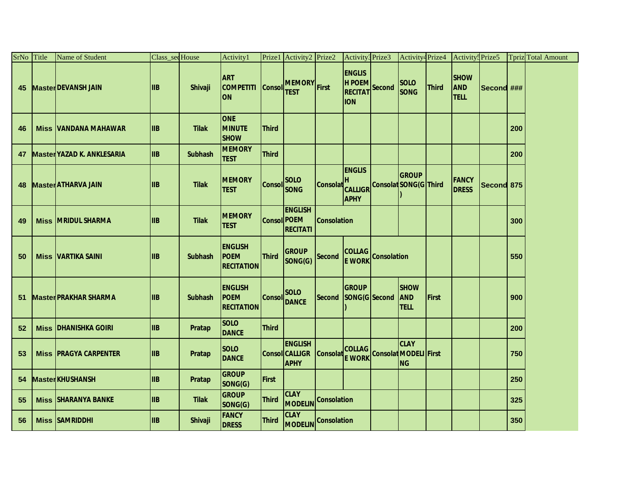| SrNo Title | Name of Student                   | Class_secHouse |                | <b>Activity1</b>                                   |                    | Prize1 Activity2 Prize2                                |                    | Activity <sup>3</sup> Prize3                                           | Activity <sup>4</sup> Prize4             |              | Activity <sup>5</sup> Prize5             |            |     | <b>Tpriz</b> Total Amount |
|------------|-----------------------------------|----------------|----------------|----------------------------------------------------|--------------------|--------------------------------------------------------|--------------------|------------------------------------------------------------------------|------------------------------------------|--------------|------------------------------------------|------------|-----|---------------------------|
| 45         | <b>Master DEVANSH JAIN</b>        | <b>IIB</b>     | Shivaji        | <b>ART</b><br>COMPETITI Consol<br><b>ON</b>        |                    | MEMORY First<br><b>TEST</b>                            |                    | <b>ENGLIS</b><br>H POEM<br>RECITAT Second<br><b>ION</b>                | <b>SOLO</b><br><b>SONG</b>               | <b>Third</b> | <b>SHOW</b><br><b>AND</b><br><b>TELL</b> | Second ### |     |                           |
| 46         | <b>Miss VANDANA MAHAWAR</b>       | <b>IIB</b>     | <b>Tilak</b>   | <b>ONE</b><br><b>MINUTE</b><br><b>SHOW</b>         | <b>Third</b>       |                                                        |                    |                                                                        |                                          |              |                                          |            | 200 |                           |
| 47         | <b>Master YAZAD K. ANKLESARIA</b> | <b>IIB</b>     | <b>Subhash</b> | <b>MEMORY</b><br><b>TEST</b>                       | <b>Third</b>       |                                                        |                    |                                                                        |                                          |              |                                          |            | 200 |                           |
| 48         | <b>Master ATHARVA JAIN</b>        | <b>IIB</b>     | <b>Tilak</b>   | <b>MEMORY</b><br><b>TEST</b>                       |                    | <b>SOLO</b><br>Consol SONG                             |                    | <b>ENGLIS</b><br>Consolat CALLIGR Consolat SONG(G Third<br><b>APHY</b> | <b>GROUP</b>                             |              | <b>FANCY</b><br><b>DRESS</b>             | Second 875 |     |                           |
| 49         | <b>Miss MRIDUL SHARMA</b>         | <b>IIB</b>     | <b>Tilak</b>   | <b>MEMORY</b><br><b>TEST</b>                       | <b>Consol POEM</b> | <b>ENGLISH</b><br><b>RECITATI</b>                      | <b>Consolation</b> |                                                                        |                                          |              |                                          |            | 300 |                           |
| 50         | <b>Miss VARTIKA SAINI</b>         | <b>IIB</b>     | <b>Subhash</b> | <b>ENGLISH</b><br><b>POEM</b><br><b>RECITATION</b> | <b>Third</b>       | <b>GROUP</b><br>SONG(G)                                | <b>Second</b>      | COLLAG Consolation<br><b>E WORK</b>                                    |                                          |              |                                          |            | 550 |                           |
| 51         | <b>Master PRAKHAR SHARMA</b>      | <b>IIIB</b>    | <b>Subhash</b> | <b>ENGLISH</b><br><b>POEM</b><br><b>RECITATION</b> | <b>Consol</b>      | <b>SOLO</b><br><b>DANCE</b>                            |                    | <b>GROUP</b><br>Second SONG(G Second                                   | <b>SHOW</b><br><b>AND</b><br><b>TELL</b> | First        |                                          |            | 900 |                           |
| 52         | <b>Miss DHANISHKA GOIRI</b>       | <b>IIB</b>     | Pratap         | <b>SOLO</b><br><b>DANCE</b>                        | <b>Third</b>       |                                                        |                    |                                                                        |                                          |              |                                          |            | 200 |                           |
| 53         | <b>Miss PRAGYA CARPENTER</b>      | <b>IIB</b>     | Pratap         | <b>SOLO</b><br><b>DANCE</b>                        |                    | <b>ENGLISH</b><br><b>Consol CALLIGR</b><br><b>APHY</b> | Consolat           | COLLAG Consolat MODELI First                                           | <b>CLAY</b><br><b>NG</b>                 |              |                                          |            | 750 |                           |
| 54         | <b>MasterKHUSHANSH</b>            | <b>IIB</b>     | Pratap         | <b>GROUP</b><br>SONG(G)                            | <b>First</b>       |                                                        |                    |                                                                        |                                          |              |                                          |            | 250 |                           |
| 55         | <b>Miss SHARANYA BANKE</b>        | <b>IIIB</b>    | <b>Tilak</b>   | <b>GROUP</b><br>SONG(G)                            | <b>Third</b>       | <b>CLAY</b><br>MODELIN <sup>Consolation</sup>          |                    |                                                                        |                                          |              |                                          |            | 325 |                           |
| 56         | <b>Miss SAMRIDDHI</b>             | <b>IIIB</b>    | Shivaji        | <b>FANCY</b><br><b>DRESS</b>                       | <b>Third</b>       | <b>CLAY</b><br>MODELIN Consolation                     |                    |                                                                        |                                          |              |                                          |            | 350 |                           |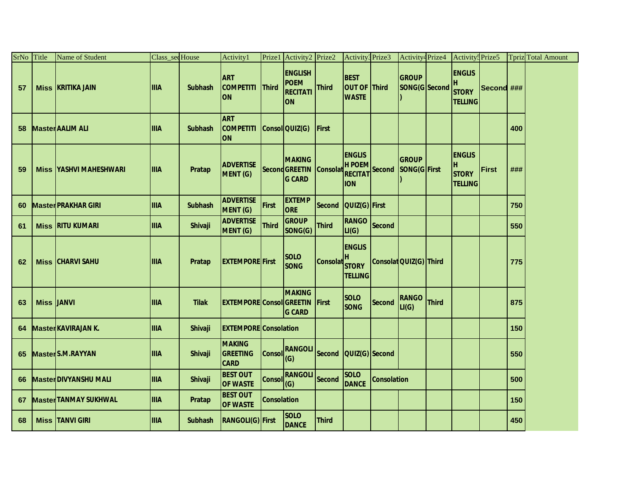| SrNo | Title             | Name of Student                | Class_secHouse |                | Activity1                                   |                    | Prize1 Activity2 Prize2                                 |                | Activity3 Prize3                                        |                    | Activity <sup>4</sup> Prize4  |              | Activity <sup>5</sup> Prize5                          |            |     | <b>Tpriz</b> Total Amount |
|------|-------------------|--------------------------------|----------------|----------------|---------------------------------------------|--------------------|---------------------------------------------------------|----------------|---------------------------------------------------------|--------------------|-------------------------------|--------------|-------------------------------------------------------|------------|-----|---------------------------|
| 57   |                   | <b>Miss KRITIKA JAIN</b>       | <b>IIIA</b>    | <b>Subhash</b> | <b>ART</b><br><b>COMPETITI</b><br>ION       | <b>Third</b>       | <b>ENGLISH</b><br><b>POEM</b><br><b>RECITATI</b><br>ON  | <b>Third</b>   | <b>BEST</b><br>OUT OF Third<br><b>WASTE</b>             |                    | <b>GROUP</b><br>SONG(G Second |              | <b>ENGLIS</b><br>н<br><b>STORY</b><br><b>TELLING</b>  | Second ### |     |                           |
| 58   |                   | <b>Master AALIM ALI</b>        | <b>IIIA</b>    | <b>Subhash</b> | <b>ART</b><br><b>COMPETITI</b><br><b>ON</b> |                    | Consol QUIZ(G)                                          | <b>First</b>   |                                                         |                    |                               |              |                                                       |            | 400 |                           |
| 59   |                   | <b>Miss IYASHVI MAHESHWARI</b> | <b>IIIA</b>    | Pratap         | <b>ADVERTISE</b><br>MENT (G)                |                    | <b>MAKING</b><br><b>Second GREETIN</b><br><b>G CARD</b> | <b>Consola</b> | <b>ENGLIS</b><br>H POEM<br><b>RECITAT</b><br><b>ION</b> | <b>Second</b>      | <b>GROUP</b><br>SONG(G First  |              | <b>ENGLIS</b><br>IΗ<br><b>STORY</b><br><b>TELLING</b> | First      | ### |                           |
| 60   |                   | <b>Master PRAKHAR GIRI</b>     | <b>IIIA</b>    | <b>Subhash</b> | <b>ADVERTISE</b><br>MENT (G)                | First              | <b>EXTEMP</b><br><b>ORE</b>                             | <b>Second</b>  | QUIZ(G) First                                           |                    |                               |              |                                                       |            | 750 |                           |
| 61   |                   | <b>Miss RITU KUMARI</b>        | <b>IIIA</b>    | <b>Shivaji</b> | <b>ADVERTISE</b><br>MENT (G)                | <b>Third</b>       | <b>GROUP</b><br>SONG(G)                                 | <b>Third</b>   | <b>RANGO</b><br>LI(G)                                   | Second             |                               |              |                                                       |            | 550 |                           |
| 62   |                   | <b>Miss CHARVI SAHU</b>        | <b>IIIA</b>    | <b>Pratap</b>  | <b>EXTEMPORE First</b>                      |                    | <b>SOLO</b><br><b>SONG</b>                              | <b>Consola</b> | <b>ENGLIS</b><br><b>STORY</b><br><b>TELLING</b>         |                    | Consolat QUIZ(G) Third        |              |                                                       |            | 775 |                           |
| 63   | <b>Miss JANVI</b> |                                | <b>IIIA</b>    | <b>Tilak</b>   | <b>EXTEMPORE Consol GREETIN</b>             |                    | <b>MAKING</b><br><b>G CARD</b>                          | First          | <b>SOLO</b><br><b>SONG</b>                              | Second             | <b>RANGO</b><br>LI(G)         | <b>Third</b> |                                                       |            | 875 |                           |
| 64   |                   | <b>Master KAVIRAJAN K.</b>     | <b>IIIA</b>    | <b>Shivaji</b> | <b>EXTEMPORE</b> Consolation                |                    |                                                         |                |                                                         |                    |                               |              |                                                       |            | 150 |                           |
| 65   |                   | <b>MasterS.M.RAYYAN</b>        | <b>IIIA</b>    | <b>Shivaji</b> | MAKING<br><b>GREETING</b><br><b>CARD</b>    | <b>Consol</b>      | <b>RANGOLI</b><br>(G)                                   | Second         | QUIZ(G) Second                                          |                    |                               |              |                                                       |            | 550 |                           |
| 66   |                   | <b>MasterDIVYANSHU MALI</b>    | <b>IIIA</b>    | <b>Shivaji</b> | <b>BEST OUT</b><br><b>OF WASTE</b>          | <b>Consol</b>      | <b>RANGOLI</b><br>(G)                                   | Second         | <b>SOLO</b><br><b>DANCE</b>                             | <b>Consolation</b> |                               |              |                                                       |            | 500 |                           |
| 67   |                   | <b>Master TANMAY SUKHWAL</b>   | <b>IIIA</b>    | Pratap         | <b>BEST OUT</b><br><b>OF WASTE</b>          | <b>Consolation</b> |                                                         |                |                                                         |                    |                               |              |                                                       |            | 150 |                           |
| 68   |                   | <b>Miss TANVI GIRI</b>         | <b>IIIA</b>    | <b>Subhash</b> | <b>RANGOLI(G)</b> First                     |                    | <b>SOLO</b><br><b>DANCE</b>                             | <b>Third</b>   |                                                         |                    |                               |              |                                                       |            | 450 |                           |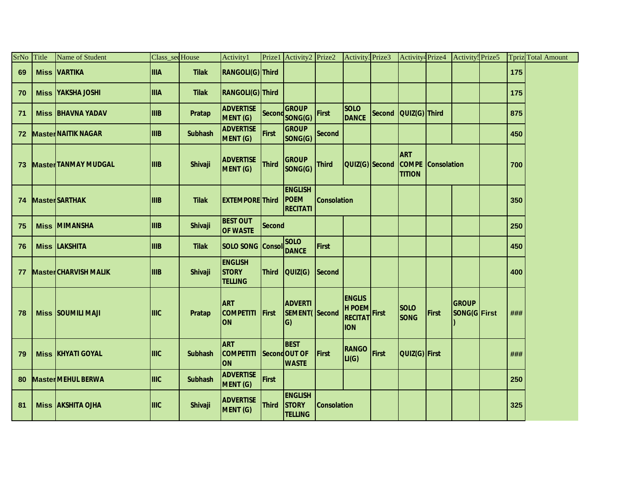| SrNo | Title | Name of Student              | Class_secHouse |                | Activity1                                        |              | Prize1 Activity2 Prize2                          |                    | Activity <sup>3</sup> Prize3                            |              | Activity <sup>4</sup> Prize4                |                    | Activity: Prize5             |     | <b>Tpriz</b> Total Amount |
|------|-------|------------------------------|----------------|----------------|--------------------------------------------------|--------------|--------------------------------------------------|--------------------|---------------------------------------------------------|--------------|---------------------------------------------|--------------------|------------------------------|-----|---------------------------|
| 69   |       | <b>Miss VARTIKA</b>          | <b>IIIA</b>    | <b>Tilak</b>   | RANGOLI(G) Third                                 |              |                                                  |                    |                                                         |              |                                             |                    |                              | 175 |                           |
| 70   |       | <b>Miss YAKSHA JOSHI</b>     | <b>IIIA</b>    | <b>Tilak</b>   | RANGOLI(G) Third                                 |              |                                                  |                    |                                                         |              |                                             |                    |                              | 175 |                           |
| 71   |       | <b>Miss BHAVNA YADAV</b>     | <b>IIIB</b>    | Pratap         | <b>ADVERTISE</b><br>MENT (G)                     |              | <b>GROUP</b><br>Second SONG(G)                   | First              | <b>SOLO</b><br><b>DANCE</b>                             |              | Second   QUIZ(G)   Third                    |                    |                              | 875 |                           |
| 72   |       | <b>Master NAITIK NAGAR</b>   | <b>IIIB</b>    | <b>Subhash</b> | <b>ADVERTISE</b><br><b>MENT (G)</b>              | First        | <b>GROUP</b><br>SONG(G)                          | <b>Second</b>      |                                                         |              |                                             |                    |                              | 450 |                           |
| 73   |       | <b>Master TANMAY MUDGAL</b>  | <b>IIIB</b>    | Shivaji        | <b>ADVERTISE</b><br>MENT (G)                     | <b>Third</b> | <b>GROUP</b><br>SONG(G)                          | <b>Third</b>       | QUIZ(G) Second                                          |              | <b>ART</b><br><b>COMPE</b><br><b>TITION</b> | <b>Consolation</b> |                              | 700 |                           |
| 74   |       | <b>MasterSARTHAK</b>         | <b>IIIB</b>    | <b>Tilak</b>   | <b>EXTEMPORE Third</b>                           |              | <b>ENGLISH</b><br><b>POEM</b><br><b>RECITATI</b> | <b>Consolation</b> |                                                         |              |                                             |                    |                              | 350 |                           |
| 75   |       | <b>Miss MIMANSHA</b>         | <b>IIIB</b>    | Shivaji        | <b>BEST OUT</b><br><b>OF WASTE</b>               | Second       |                                                  |                    |                                                         |              |                                             |                    |                              | 250 |                           |
| 76   |       | <b>Miss LAKSHITA</b>         | <b>IIIB</b>    | <b>Tilak</b>   | <b>SOLO SONG Consol</b>                          |              | <b>SOLO</b><br><b>DANCE</b>                      | <b>First</b>       |                                                         |              |                                             |                    |                              | 450 |                           |
| 77   |       | <b>Master CHARVISH MALIK</b> | <b>IIIIB</b>   | <b>Shivaji</b> | <b>ENGLISH</b><br><b>STORY</b><br><b>TELLING</b> | <b>Third</b> | QUIZ(G)                                          | Second             |                                                         |              |                                             |                    |                              | 400 |                           |
| 78   |       | <b>Miss SOUMILI MAJI</b>     | <b>IIIIC</b>   | <b>Pratap</b>  | <b>ART</b><br><b>COMPETITI</b><br><b>ON</b>      | First        | <b>ADVERTI</b><br><b>SEMENT(Second</b><br>G)     |                    | <b>ENGLIS</b><br>H POEM<br><b>RECITAT</b><br><b>ION</b> | First        | <b>SOLO</b><br><b>SONG</b>                  | <b>First</b>       | <b>GROUP</b><br>SONG(G First | ### |                           |
| 79   |       | <b>Miss KHYATI GOYAL</b>     | <b>IIIIC</b>   | <b>Subhash</b> | <b>ART</b><br><b>COMPETITI</b><br><b>ON</b>      |              | <b>BEST</b><br>Second OUT OF<br><b>WASTE</b>     | First              | <b>RANGO</b><br>LI(G)                                   | <b>First</b> | QUIZ(G) First                               |                    |                              | ### |                           |
| 80   |       | <b>Master MEHUL BERWA</b>    | <b>IIIIC</b>   | <b>Subhash</b> | <b>ADVERTISE</b><br><b>MENT (G)</b>              | First        |                                                  |                    |                                                         |              |                                             |                    |                              | 250 |                           |
| 81   |       | <b>Miss AKSHITA OJHA</b>     | <b>IIIIC</b>   | <b>Shivaji</b> | <b>ADVERTISE</b><br>MENT (G)                     | <b>Third</b> | <b>ENGLISH</b><br><b>STORY</b><br><b>TELLING</b> | <b>Consolation</b> |                                                         |              |                                             |                    |                              | 325 |                           |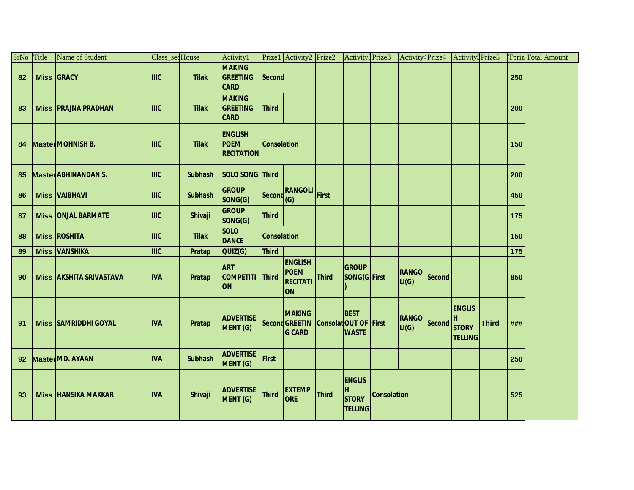| SrNo Title      | Name of Student                | Class_secHouse |                | Activity1                                          |                    | Prize1 Activity2 Prize2                                       |              | Activity3 Prize3                                            |                    | Activity <sup>4</sup> Prize4 |        | Activity <sup>5</sup> Prize5                          |              |     | Tpriz Total Amount |
|-----------------|--------------------------------|----------------|----------------|----------------------------------------------------|--------------------|---------------------------------------------------------------|--------------|-------------------------------------------------------------|--------------------|------------------------------|--------|-------------------------------------------------------|--------------|-----|--------------------|
| 82              | <b>Miss GRACY</b>              | <b>IIIC</b>    | <b>Tilak</b>   | <b>MAKING</b><br><b>GREETING</b><br><b>CARD</b>    | Second             |                                                               |              |                                                             |                    |                              |        |                                                       |              | 250 |                    |
| 83              | <b>Miss PRAJNA PRADHAN</b>     | IIIIC          | <b>Tilak</b>   | <b>MAKING</b><br><b>GREETING</b><br><b>CARD</b>    | <b>Third</b>       |                                                               |              |                                                             |                    |                              |        |                                                       |              | 200 |                    |
| 84              | Master MOHNISH B.              | <b>IIIC</b>    | <b>Tilak</b>   | <b>ENGLISH</b><br><b>POEM</b><br><b>RECITATION</b> | <b>Consolation</b> |                                                               |              |                                                             |                    |                              |        |                                                       |              | 150 |                    |
| 85              | <b>Master ABHINANDAN S.</b>    | <b>IIIIC</b>   | <b>Subhash</b> | SOLO SONG Third                                    |                    |                                                               |              |                                                             |                    |                              |        |                                                       |              | 200 |                    |
| 86              | <b>Miss VAIBHAVI</b>           | <b>IIIC</b>    | <b>Subhash</b> | <b>GROUP</b><br>SONG(G)                            |                    | Second RANGOLI<br>(G)                                         | First        |                                                             |                    |                              |        |                                                       |              | 450 |                    |
| 87              | <b>Miss ONJAL BARMATE</b>      | <b>IIIC</b>    | Shivaji        | <b>GROUP</b><br>SONG(G)                            | <b>Third</b>       |                                                               |              |                                                             |                    |                              |        |                                                       |              | 175 |                    |
| 88              | <b>Miss ROSHITA</b>            | <b>IIIC</b>    | <b>Tilak</b>   | <b>SOLO</b><br><b>DANCE</b>                        | <b>Consolation</b> |                                                               |              |                                                             |                    |                              |        |                                                       |              | 150 |                    |
| 89              | <b>Miss VANSHIKA</b>           | <b>IIIC</b>    | Pratap         | QUIZ(G)                                            | <b>Third</b>       |                                                               |              |                                                             |                    |                              |        |                                                       |              | 175 |                    |
| 90              | <b>Miss AKSHITA SRIVASTAVA</b> | <b>IVA</b>     | Pratap         | <b>ART</b><br><b>COMPETITI</b><br><b>ON</b>        | Third              | <b>ENGLISH</b><br><b>POEM</b><br><b>RECITATI</b><br><b>ON</b> | <b>Third</b> | <b>GROUP</b><br>SONG(G First                                |                    | RANGO Second<br>LI(G)        |        |                                                       |              | 850 |                    |
| 91              | <b>Miss SAMRIDDHI GOYAL</b>    | <b>IVA</b>     | Pratap         | <b>ADVERTISE</b><br><b>MENT (G)</b>                |                    | <b>MAKING</b><br><b>Second GREETIN</b><br><b>G CARD</b>       |              | <b>BEST</b><br><b>Consolat OUT OF First</b><br><b>WASTE</b> |                    | <b>RANGO</b><br>LI(G)        | Second | <b>ENGLIS</b><br>H,<br><b>STORY</b><br><b>TELLING</b> | <b>Third</b> | ### |                    |
| 92 <sub>2</sub> | <b>Master MD. AYAAN</b>        | <b>IVA</b>     | <b>Subhash</b> | <b>ADVERTISE</b><br><b>MENT (G)</b>                | First              |                                                               |              |                                                             |                    |                              |        |                                                       |              | 250 |                    |
| 93              | <b>Miss HANSIKA MAKKAR</b>     | <b>IVA</b>     | Shivaji        | <b>ADVERTISE</b><br>MENT (G)                       | <b>Third</b>       | <b>EXTEMP</b><br><b>ORE</b>                                   | Third        | <b>ENGLIS</b><br>н<br><b>STORY</b><br><b>TELLING</b>        | <b>Consolation</b> |                              |        |                                                       |              | 525 |                    |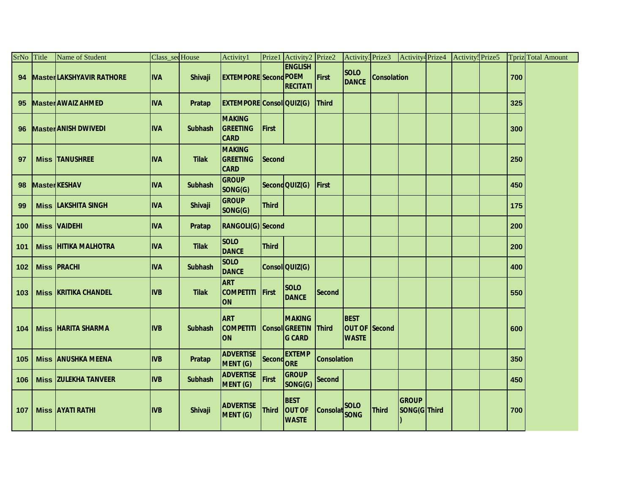| SrNo Title | Name of Student                 | Class_secHouse |                | Activity1                                       |               | Prize1 Activity2 Prize2                                 |                    | Activity3 Prize3                                    |                    | Activity <sup>4</sup> Prize4 | Activity <sup>5</sup> Prize5 |     | Tpriz Total Amount |
|------------|---------------------------------|----------------|----------------|-------------------------------------------------|---------------|---------------------------------------------------------|--------------------|-----------------------------------------------------|--------------------|------------------------------|------------------------------|-----|--------------------|
| 94         | <b>MasterLAKSHYAVIR RATHORE</b> | <b>IVA</b>     | Shivaji        | <b>EXTEMPORE</b> Second POEM                    |               | <b>ENGLISH</b><br><b>RECITATI</b>                       | First              | <b>SOLO</b><br><b>DANCE</b>                         | <b>Consolation</b> |                              |                              | 700 |                    |
| 95         | <b>Master AWAIZ AHMED</b>       | <b>IVA</b>     | Pratap         | <b>EXTEMPORE Consol QUIZ(G)</b>                 |               |                                                         | <b>Third</b>       |                                                     |                    |                              |                              | 325 |                    |
| 96         | <b>Master ANISH DWIVEDI</b>     | <b>IVA</b>     | <b>Subhash</b> | <b>MAKING</b><br><b>GREETING</b><br><b>CARD</b> | <b>First</b>  |                                                         |                    |                                                     |                    |                              |                              | 300 |                    |
| 97         | <b>Miss TANUSHREE</b>           | <b>IVA</b>     | <b>Tilak</b>   | <b>MAKING</b><br><b>GREETING</b><br><b>CARD</b> | <b>Second</b> |                                                         |                    |                                                     |                    |                              |                              | 250 |                    |
| 98         | <b>Master KESHAV</b>            | <b>IVA</b>     | <b>Subhash</b> | <b>GROUP</b><br>SONG(G)                         |               | Second QUIZ(G)                                          | First              |                                                     |                    |                              |                              | 450 |                    |
| 99         | <b>Miss LAKSHITA SINGH</b>      | <b>IVA</b>     | Shivaji        | <b>GROUP</b><br>SONG(G)                         | <b>Third</b>  |                                                         |                    |                                                     |                    |                              |                              | 175 |                    |
| 100        | <b>Miss VAIDEHI</b>             | <b>IVA</b>     | Pratap         | RANGOLI(G) Second                               |               |                                                         |                    |                                                     |                    |                              |                              | 200 |                    |
| 101        | <b>Miss HITIKA MALHOTRA</b>     | <b>IVA</b>     | <b>Tilak</b>   | <b>SOLO</b><br><b>DANCE</b>                     | <b>Third</b>  |                                                         |                    |                                                     |                    |                              |                              | 200 |                    |
| 102        | <b>Miss PRACHI</b>              | <b>IVA</b>     | <b>Subhash</b> | <b>SOLO</b><br><b>DANCE</b>                     |               | Consol QUIZ(G)                                          |                    |                                                     |                    |                              |                              | 400 |                    |
| 103        | <b>Miss KRITIKA CHANDEL</b>     | <b>IIVB</b>    | <b>Tilak</b>   | <b>ART</b><br><b>COMPETITI</b><br><b>ON</b>     | First         | <b>SOLO</b><br><b>DANCE</b>                             | Second             |                                                     |                    |                              |                              | 550 |                    |
| 104        | <b>Miss HARITA SHARMA</b>       | <b>IVB</b>     | <b>Subhash</b> | <b>ART</b><br><b>COMPETITI</b><br><b>ON</b>     |               | <b>MAKING</b><br><b>Consol GREETIN</b><br><b>G CARD</b> | <b>Third</b>       | <b>BEST</b><br><b>OUT OF Second</b><br><b>WASTE</b> |                    |                              |                              | 600 |                    |
| 105        | <b>Miss ANUSHKA MEENA</b>       | <b>IVB</b>     | Pratap         | <b>ADVERTISE</b><br>MENT (G)                    | Second ORE    | <b>EXTEMP</b>                                           | <b>Consolation</b> |                                                     |                    |                              |                              | 350 |                    |
| 106        | <b>Miss ZULEKHA TANVEER</b>     | <b>IVB</b>     | <b>Subhash</b> | <b>ADVERTISE</b><br>MENT (G)                    | <b>First</b>  | <b>GROUP</b><br>SONG(G)                                 | Second             |                                                     |                    |                              |                              | 450 |                    |
| 107        | <b>Miss AYATI RATHI</b>         | <b>IVB</b>     | <b>Shivaji</b> | <b>ADVERTISE</b><br>MENT (G)                    | <b>Third</b>  | <b>BEST</b><br><b>OUT OF</b><br><b>WASTE</b>            | Consolat SOLO      |                                                     | <b>Third</b>       | <b>GROUP</b><br>SONG(G Third |                              | 700 |                    |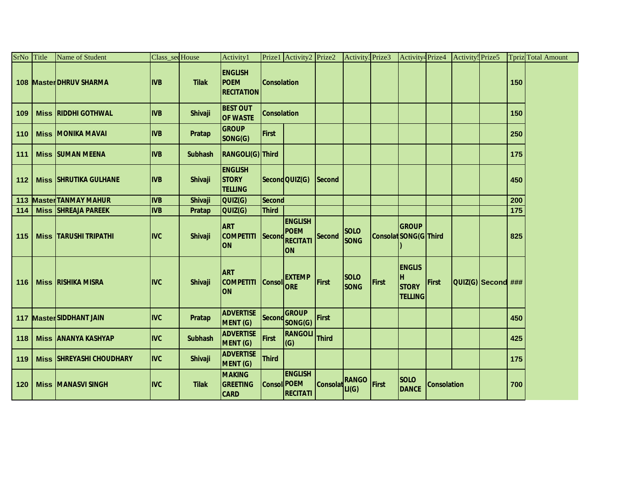| SrNo Title |             | <b>Name of Student</b>          | Class sec House |                | Activity1                                          |                    | Prize1 Activity2 Prize2                                 |          | Activity3 Prize3           |                       | Activity <sup>4</sup> Prize4                          |                    | Activity <sup>5</sup> Prize5 |                    |     | <b>Tpriz</b> Total Amount |
|------------|-------------|---------------------------------|-----------------|----------------|----------------------------------------------------|--------------------|---------------------------------------------------------|----------|----------------------------|-----------------------|-------------------------------------------------------|--------------------|------------------------------|--------------------|-----|---------------------------|
|            |             | 108 MasterDHRUV SHARMA          | <b>IVB</b>      | <b>Tilak</b>   | <b>ENGLISH</b><br><b>POEM</b><br><b>RECITATION</b> | <b>Consolation</b> |                                                         |          |                            |                       |                                                       |                    |                              |                    | 150 |                           |
| 109        |             | <b>Miss RIDDHI GOTHWAL</b>      | <b>IVB</b>      | <b>Shivaji</b> | <b>BEST OUT</b><br><b>OF WASTE</b>                 | <b>Consolation</b> |                                                         |          |                            |                       |                                                       |                    |                              |                    | 150 |                           |
| 110        |             | <b>Miss MONIKA MAVAI</b>        | <b>IVB</b>      | <b>Pratap</b>  | <b>GROUP</b><br>SONG(G)                            | First              |                                                         |          |                            |                       |                                                       |                    |                              |                    | 250 |                           |
| 111        |             | <b>Miss SUMAN MEENA</b>         | <b>IVB</b>      | <b>Subhash</b> | RANGOLI(G) Third                                   |                    |                                                         |          |                            |                       |                                                       |                    |                              |                    | 175 |                           |
| 112        |             | <b>Miss SHRUTIKA GULHANE</b>    | <b>IVB</b>      | <b>Shivaji</b> | <b>ENGLISH</b><br><b>STORY</b><br><b>TELLING</b>   |                    | Second QUIZ(G)                                          | Second   |                            |                       |                                                       |                    |                              |                    | 450 |                           |
| 113        |             | <b>Master TANMAY MAHUR</b>      | <b>IVB</b>      | <b>Shivaji</b> | <b>QUIZ(G)</b>                                     | <b>Second</b>      |                                                         |          |                            |                       |                                                       |                    |                              |                    | 200 |                           |
| 114        | <b>Miss</b> | <b>SHREAJA PAREEK</b>           | <b>IVB</b>      | <b>Pratap</b>  | QUIZ(G)                                            | <b>Third</b>       |                                                         |          |                            |                       |                                                       |                    |                              |                    | 175 |                           |
| 115        |             | <b>Miss TARUSHI TRIPATHI</b>    | <b>IIVC</b>     | <b>Shivaji</b> | <b>ART</b><br><b>COMPETITI</b><br>ON               | Second             | <b>ENGLISH</b><br><b>POEM</b><br>RECITATI<br><b>ION</b> | Second   | <b>SOLO</b><br><b>SONG</b> | Consolat SONG(G Third | <b>GROUP</b>                                          |                    |                              |                    | 825 |                           |
| 116        |             | <b>Miss RISHIKA MISRA</b>       | <b>IIVC</b>     | <b>Shivaji</b> | <b>ART</b><br><b>COMPETITI</b><br><b>ON</b>        | Consol ORE         | <b>EXTEMP</b>                                           | First    | <b>SOLO</b><br><b>SONG</b> | First                 | <b>ENGLIS</b><br>Iн<br><b>STORY</b><br><b>TELLING</b> | First              |                              | QUIZ(G) Second ### |     |                           |
|            |             | 117 MasterSIDDHANT JAIN         | <b>IVC</b>      | <b>Pratap</b>  | <b>ADVERTISE</b><br>MENT (G)                       |                    | <b>GROUP</b><br>Second SONG(G)                          | First    |                            |                       |                                                       |                    |                              |                    | 450 |                           |
| 118        |             | <b>Miss ANANYA KASHYAP</b>      | <b>IVC</b>      | <b>Subhash</b> | <b>ADVERTISE</b><br>MENT (G)                       | First              | <b>RANGOLI</b><br>(G)                                   | Third    |                            |                       |                                                       |                    |                              |                    | 425 |                           |
| 119        |             | <b>Miss SHREYASHI CHOUDHARY</b> | <b>IIVC</b>     | Shivaji        | <b>ADVERTISE</b><br>MENT (G)                       | <b>Third</b>       |                                                         |          |                            |                       |                                                       |                    |                              |                    | 175 |                           |
| 120        |             | <b>Miss MANASVI SINGH</b>       | <b>IVC</b>      | <b>Tilak</b>   | <b>MAKING</b><br><b>GREETING</b><br><b>CARD</b>    | <b>Consol POEM</b> | <b>ENGLISH</b><br><b>RECITATI</b>                       | Consolat | <b>RANGO</b><br>LI(G)      | First                 | <b>SOLO</b><br><b>DANCE</b>                           | <b>Consolation</b> |                              |                    | 700 |                           |

**ON**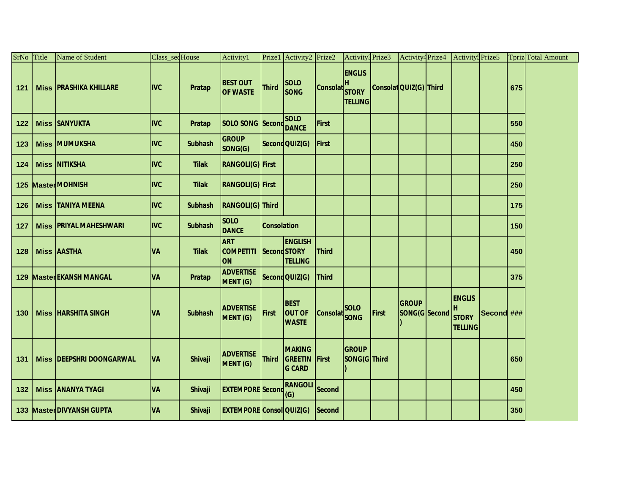| SrNo Title | <b>Name of Student</b>          | Class_secHouse |                | Activity1                                   |                    | Prize1 Activity2 Prize2                          |                 | Activity3 Prize3                                     |       | Activity <sup>4</sup> Prize4  | Activity: Prize5                                |            |     | <b>Tpriz</b> Total Amount |
|------------|---------------------------------|----------------|----------------|---------------------------------------------|--------------------|--------------------------------------------------|-----------------|------------------------------------------------------|-------|-------------------------------|-------------------------------------------------|------------|-----|---------------------------|
| 121        | <b>Miss PRASHIKA KHILLARE</b>   | <b>IVC</b>     | Pratap         | <b>BEST OUT</b><br><b>OF WASTE</b>          | <b>Third</b>       | <b>SOLO</b><br><b>SONG</b>                       | <b>Consolat</b> | <b>ENGLIS</b><br>н<br><b>STORY</b><br><b>TELLING</b> |       | Consolat QUIZ(G) Third        |                                                 |            | 675 |                           |
| 122        | <b>Miss SANYUKTA</b>            | <b>IIVC</b>    | Pratap         | <b>SOLO SONG Second</b>                     |                    | <b>SOLO</b><br><b>DANCE</b>                      | <b>First</b>    |                                                      |       |                               |                                                 |            | 550 |                           |
| 123        | <b>Miss MUMUKSHA</b>            | <b>IVC</b>     | <b>Subhash</b> | <b>GROUP</b><br>SONG(G)                     |                    | Second QUIZ(G)                                   | <b>First</b>    |                                                      |       |                               |                                                 |            | 450 |                           |
| 124        | <b>Miss NITIKSHA</b>            | <b>IVC</b>     | <b>Tilak</b>   | <b>RANGOLI(G)</b> First                     |                    |                                                  |                 |                                                      |       |                               |                                                 |            | 250 |                           |
|            | 125 Master MOHNISH              | <b>IVC</b>     | <b>Tilak</b>   | <b>RANGOLI(G)</b> First                     |                    |                                                  |                 |                                                      |       |                               |                                                 |            | 250 |                           |
| 126        | <b>Miss TANIYA MEENA</b>        | <b>IVC</b>     | <b>Subhash</b> | RANGOLI(G) Third                            |                    |                                                  |                 |                                                      |       |                               |                                                 |            | 175 |                           |
| 127        | <b>Miss PRIYAL MAHESHWARI</b>   | <b>IIVC</b>    | <b>Subhash</b> | <b>SOLO</b><br><b>DANCE</b>                 | <b>Consolation</b> |                                                  |                 |                                                      |       |                               |                                                 |            | 150 |                           |
| 128        | <b>Miss AASTHA</b>              | <b>VA</b>      | <b>Tilak</b>   | <b>ART</b><br><b>COMPETITI</b><br><b>ON</b> |                    | <b>ENGLISH</b><br>Second STORY<br><b>TELLING</b> | <b>Third</b>    |                                                      |       |                               |                                                 |            | 450 |                           |
|            | <b>129 Master EKANSH MANGAL</b> | <b>VA</b>      | Pratap         | <b>ADVERTISE</b><br>MENT (G)                |                    | Second QUIZ(G)                                   | <b>Third</b>    |                                                      |       |                               |                                                 |            | 375 |                           |
| 130        | <b>Miss HARSHITA SINGH</b>      | <b>VA</b>      | <b>Subhash</b> | <b>ADVERTISE</b><br>MENT (G)                | <b>First</b>       | <b>BEST</b><br><b>OUT OF</b><br><b>WASTE</b>     | <b>Consolat</b> | <b>SOLO</b><br><b>SONG</b>                           | First | <b>GROUP</b><br>SONG(G Second | <b>ENGLIS</b><br><b>STORY</b><br><b>TELLING</b> | Second ### |     |                           |
| 131        | Miss <b>DEEPSHRI DOONGARWAL</b> | <b>VA</b>      | Shivaji        | <b>ADVERTISE</b><br><b>MENT (G)</b>         | <b>Third</b>       | <b>MAKING</b><br><b>GREETIN</b><br><b>G CARD</b> | <b>First</b>    | <b>GROUP</b><br>SONG(G Third                         |       |                               |                                                 |            | 650 |                           |
| 132        | <b>Miss ANANYA TYAGI</b>        | <b>VA</b>      | <b>Shivaji</b> | <b>EXTEMPORE Second</b>                     |                    | <b>RANGOLI</b><br>(G)                            | <b>Second</b>   |                                                      |       |                               |                                                 |            | 450 |                           |
|            | 133 MasterDIVYANSH GUPTA        | <b>VA</b>      | <b>Shivaji</b> | <b>EXTEMPORE Consol QUIZ(G)</b>             |                    |                                                  | <b>Second</b>   |                                                      |       |                               |                                                 |            | 350 |                           |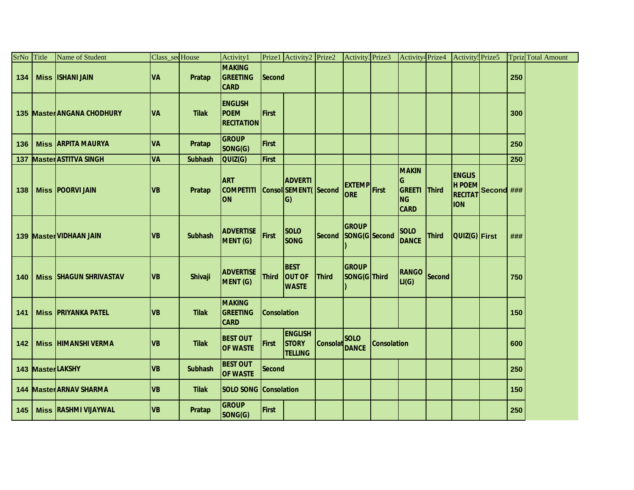| SrNo | Title       | Name of Student                | Class_secHouse |                | Activity1                                          |                    | Prize1 Activity2 Prize2                               |                 | Activity3 Prize3                  |                    | Activity <sup>4</sup> Prize4                                    |               | Activity <sup>5</sup> Prize5                                  |            |     | Tpriz Total Amount |
|------|-------------|--------------------------------|----------------|----------------|----------------------------------------------------|--------------------|-------------------------------------------------------|-----------------|-----------------------------------|--------------------|-----------------------------------------------------------------|---------------|---------------------------------------------------------------|------------|-----|--------------------|
| 134  |             | <b>Miss ISHANI JAIN</b>        | <b>VA</b>      | Pratap         | <b>MAKING</b><br><b>GREETING</b><br><b>CARD</b>    | <b>Second</b>      |                                                       |                 |                                   |                    |                                                                 |               |                                                               |            | 250 |                    |
|      |             | 135 Master ANGANA CHODHURY     | <b>VA</b>      | <b>Tilak</b>   | <b>ENGLISH</b><br><b>POEM</b><br><b>RECITATION</b> | <b>First</b>       |                                                       |                 |                                   |                    |                                                                 |               |                                                               |            | 300 |                    |
| 136  |             | <b>Miss ARPITA MAURYA</b>      | <b>VA</b>      | Pratap         | <b>GROUP</b><br>SONG(G)                            | <b>First</b>       |                                                       |                 |                                   |                    |                                                                 |               |                                                               |            | 250 |                    |
| 137  |             | <b>Master ASTITVA SINGH</b>    | VA             | <b>Subhash</b> | QUIZ(G)                                            | <b>First</b>       |                                                       |                 |                                   |                    |                                                                 |               |                                                               |            | 250 |                    |
| 138  |             | <b>Miss POORVI JAIN</b>        | <b>VB</b>      | Pratap         | <b>ART</b><br><b>COMPETITI</b><br><b>ON</b>        |                    | <b>ADVERTI</b><br>Consol SEMENT(Second<br>$ G\rangle$ |                 | <b>EXTEMP</b> First<br><b>ORE</b> |                    | <b>MAKIN</b><br>IG<br><b>GREETI</b><br><b>NG</b><br><b>CARD</b> | <b>Third</b>  | <b>ENGLIS</b><br><b>HPOEM</b><br><b>RECITAT</b><br><b>ION</b> | Second ### |     |                    |
|      |             | 139 Master VIDHAAN JAIN        | <b>VB</b>      | <b>Subhash</b> | <b>ADVERTISE</b><br>MENT (G)                       | First              | <b>SOLO</b><br><b>SONG</b>                            | <b>Second</b>   | <b>GROUP</b><br>SONG(G Second     |                    | <b>SOLO</b><br><b>DANCE</b>                                     | <b>Third</b>  | QUIZ(G) First                                                 |            | ### |                    |
| 140  |             | <b>Miss SHAGUN SHRIVASTAV</b>  | <b>VB</b>      | Shivaji        | <b>ADVERTISE</b><br><b>MENT (G)</b>                | <b>Third</b>       | <b>BEST</b><br><b>OUT OF</b><br><b>WASTE</b>          | <b>Third</b>    | GROUP<br>SONG(G Third             |                    | <b>RANGO</b><br>LI(G)                                           | <b>Second</b> |                                                               |            | 750 |                    |
| 141  |             | <b>Miss PRIYANKA PATEL</b>     | <b>VB</b>      | <b>Tilak</b>   | <b>MAKING</b><br><b>GREETING</b><br><b>CARD</b>    | <b>Consolation</b> |                                                       |                 |                                   |                    |                                                                 |               |                                                               |            | 150 |                    |
| 142  | <b>Miss</b> | <b>HIMANSHI VERMA</b>          | <b>VB</b>      | <b>Tilak</b>   | <b>BEST OUT</b><br><b>OF WASTE</b>                 | <b>First</b>       | <b>ENGLISH</b><br><b>STORY</b><br><b>TELLING</b>      | <b>Consolat</b> | <b>SOLO</b><br><b>DANCE</b>       | <b>Consolation</b> |                                                                 |               |                                                               |            | 600 |                    |
|      |             | 143 MasterLAKSHY               | <b>VB</b>      | <b>Subhash</b> | <b>BEST OUT</b><br><b>OF WASTE</b>                 | <b>Second</b>      |                                                       |                 |                                   |                    |                                                                 |               |                                                               |            | 250 |                    |
|      |             | <b>144 Master ARNAV SHARMA</b> | <b>VB</b>      | <b>Tilak</b>   | <b>SOLO SONG Consolation</b>                       |                    |                                                       |                 |                                   |                    |                                                                 |               |                                                               |            | 150 |                    |
| 145  |             | <b>Miss RASHMI VIJAYWAL</b>    | <b>VB</b>      | <b>Pratap</b>  | <b>GROUP</b><br>SONG(G)                            | <b>First</b>       |                                                       |                 |                                   |                    |                                                                 |               |                                                               |            | 250 |                    |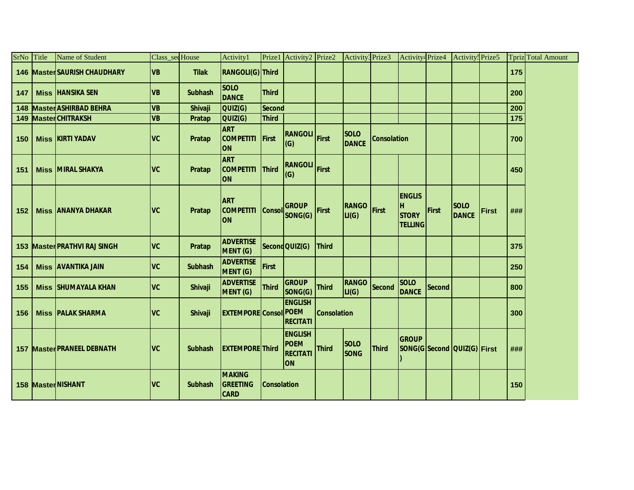| SrNo Title | <b>Name of Student</b>            | Class_secHouse |                | Activity1                                       |                    | Prize1 Activity2 Prize2                                       |                    | Activity <sup>3</sup> Prize3 |                    | Activity4Prize4                                        |               | Activity <sup>5</sup> Prize5 |              |     | <b>Tpriz</b> Total Amount |
|------------|-----------------------------------|----------------|----------------|-------------------------------------------------|--------------------|---------------------------------------------------------------|--------------------|------------------------------|--------------------|--------------------------------------------------------|---------------|------------------------------|--------------|-----|---------------------------|
|            | 146 Master SAURISH CHAUDHARY      | <b>VB</b>      | <b>Tilak</b>   | RANGOLI(G) Third                                |                    |                                                               |                    |                              |                    |                                                        |               |                              |              | 175 |                           |
| 147        | <b>Miss HANSIKA SEN</b>           | <b>VB</b>      | <b>Subhash</b> | <b>SOLO</b><br><b>DANCE</b>                     | <b>Third</b>       |                                                               |                    |                              |                    |                                                        |               |                              |              | 200 |                           |
| 148        | <b>Master ASHIRBAD BEHRA</b>      | <b>VB</b>      | <b>Shivaji</b> | QUIZ(G)                                         | <b>Second</b>      |                                                               |                    |                              |                    |                                                        |               |                              |              | 200 |                           |
| 149        | <b>MasterCHITRAKSH</b>            | <b>VB</b>      | Pratap         | QUIZ(G)                                         | <b>Third</b>       |                                                               |                    |                              |                    |                                                        |               |                              |              | 175 |                           |
| 150        | <b>Miss KIRTI YADAV</b>           | <b>IVC</b>     | Pratap         | <b>ART</b><br><b>COMPETITI</b><br>ON            | First              | RANGOLI First<br>(G)                                          |                    | <b>SOLO</b><br><b>DANCE</b>  | <b>Consolation</b> |                                                        |               |                              |              | 700 |                           |
| 151        | <b>Miss MIRAL SHAKYA</b>          | <b>IVC</b>     | Pratap         | <b>ART</b><br><b>COMPETITI</b><br>ION           | <b>Third</b>       | <b>RANGOLI</b> First<br>(G)                                   |                    |                              |                    |                                                        |               |                              |              | 450 |                           |
| 152        | <b>Miss JANANYA DHAKAR</b>        | <sub>V</sub>   | Pratap         | <b>ART</b><br><b>COMPETITI</b><br><b>ION</b>    | <b>Consol</b>      | <b>GROUP</b><br>SONG(G)                                       | <b>First</b>       | <b>RANGO</b><br>LI(G)        | First              | <b>ENGLIS</b><br>IH.<br><b>STORY</b><br><b>TELLING</b> | First         | <b>SOLO</b><br><b>DANCE</b>  | <b>First</b> | ### |                           |
|            | 153 Master PRATHVI RAJ SINGH      | lvc            | Pratap         | <b>ADVERTISE</b><br>MENT (G)                    |                    | Second QUIZ(G)                                                | <b>Third</b>       |                              |                    |                                                        |               |                              |              | 375 |                           |
| 154        | <b>Miss AVANTIKA JAIN</b>         | <b>IVC</b>     | <b>Subhash</b> | <b>ADVERTISE</b><br>MENT (G)                    | <b>First</b>       |                                                               |                    |                              |                    |                                                        |               |                              |              | 250 |                           |
| 155        | <b>Miss SHUMAYALA KHAN</b>        | <b>VC</b>      | <b>Shivaji</b> | <b>ADVERTISE</b><br>MENT (G)                    | <b>Third</b>       | <b>GROUP</b><br>SONG(G)                                       | <b>Third</b>       | <b>RANGO</b><br>LI(G)        | <b>Second</b>      | <b>SOLO</b><br><b>DANCE</b>                            | <b>Second</b> |                              |              | 800 |                           |
| 156        | <b>Miss PALAK SHARMA</b>          | <b>IVC</b>     | <b>Shivaji</b> | <b>EXTEMPORE Consol</b>                         |                    | <b>ENGLISH</b><br><b>POEM</b><br><b>RECITATI</b>              | <b>Consolation</b> |                              |                    |                                                        |               |                              |              | 300 |                           |
|            | <b>157 Master PRANEEL DEBNATH</b> | vc             | <b>Subhash</b> | <b>EXTEMPORE Third</b>                          |                    | <b>ENGLISH</b><br><b>POEM</b><br><b>RECITATI</b><br><b>ON</b> | <b>Third</b>       | <b>SOLO</b><br><b>SONG</b>   | Third              | <b>GROUP</b>                                           |               | SONG(G Second QUIZ(G) First  |              | ### |                           |
|            | 158 Master NISHANT                | <b>IVC</b>     | <b>Subhash</b> | <b>MAKING</b><br><b>GREETING</b><br><b>CARD</b> | <b>Consolation</b> |                                                               |                    |                              |                    |                                                        |               |                              |              | 150 |                           |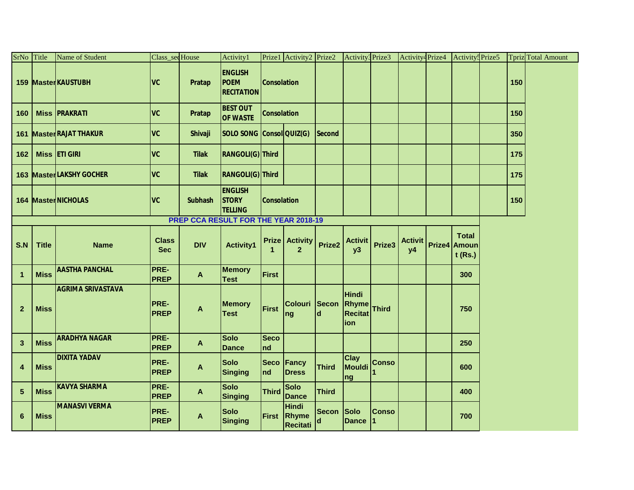| SrNo Title              |              | Name of Student                | Class_secHouse             |                                      | Activity1                                          |                      | Prize1 Activity2 Prize2                        |                   | Activity3Prize3                                        |                    | Activity <sup>4</sup> Prize4 | Activity <sup>5</sup> Prize5              |     | <b>Tpriz</b> Total Amount |
|-------------------------|--------------|--------------------------------|----------------------------|--------------------------------------|----------------------------------------------------|----------------------|------------------------------------------------|-------------------|--------------------------------------------------------|--------------------|------------------------------|-------------------------------------------|-----|---------------------------|
|                         |              | 159 MasterKAUSTUBH             | <b>VC</b>                  | Pratap                               | <b>ENGLISH</b><br><b>POEM</b><br><b>RECITATION</b> | <b>Consolation</b>   |                                                |                   |                                                        |                    |                              |                                           | 150 |                           |
| 160                     |              | <b>Miss PRAKRATI</b>           | <b>VC</b>                  | <b>Pratap</b>                        | <b>BEST OUT</b><br><b>OF WASTE</b>                 | <b>Consolation</b>   |                                                |                   |                                                        |                    |                              |                                           | 150 |                           |
|                         |              | <b>161 Master RAJAT THAKUR</b> | <b>VC</b>                  | <b>Shivaji</b>                       | SOLO SONG Consol QUIZ(G)                           |                      |                                                | <b>Second</b>     |                                                        |                    |                              |                                           | 350 |                           |
| 162                     |              | Miss <b>ETI GIRI</b>           | <b>VC</b>                  | <b>Tilak</b>                         | RANGOLI(G) Third                                   |                      |                                                |                   |                                                        |                    |                              |                                           | 175 |                           |
|                         |              | 163 MasterLAKSHY GOCHER        | <b>VC</b>                  | <b>Tilak</b>                         | RANGOLI(G) Third                                   |                      |                                                |                   |                                                        |                    |                              |                                           | 175 |                           |
|                         |              | 164 MasterNICHOLAS             | <b>VC</b>                  | <b>Subhash</b>                       | <b>ENGLISH</b><br><b>STORY</b><br><b>TELLING</b>   | <b>Consolation</b>   |                                                |                   |                                                        |                    |                              |                                           | 150 |                           |
|                         |              |                                |                            | PREP CCA RESULT FOR THE YEAR 2018-19 |                                                    |                      |                                                |                   |                                                        |                    |                              |                                           |     |                           |
| S.N                     | <b>Title</b> | <b>Name</b>                    | <b>Class</b><br><b>Sec</b> | <b>DIV</b>                           | <b>Activity1</b>                                   | $\blacktriangleleft$ | <b>Prize   Activity</b><br>$\overline{2}$      | Prize2            | <b>Activit</b><br>y3                                   | Prize3             | <b>Activit</b><br>y4         | <b>Total</b><br>Prize4 Amoun<br>$t$ (Rs.) |     |                           |
| $\mathbf{1}$            | <b>Miss</b>  | <b>AASTHA PANCHAL</b>          | PRE-<br><b>PREP</b>        | $\mathbf{A}$                         | <b>Memory</b><br><b>Test</b>                       | First                |                                                |                   |                                                        |                    |                              | 300                                       |     |                           |
| $\mathbf{2}$            | <b>Miss</b>  | <b>AGRIMA SRIVASTAVA</b>       | PRE-<br><b>PREP</b>        | A                                    | <b>Memory</b><br><b>Test</b>                       | First                | Colouri Secon<br> ng                           | ld                | <b>Hindi</b><br>Rhyme<br><b>Recitat</b><br><b>lion</b> | Third              |                              | 750                                       |     |                           |
| $\mathbf{3}$            | <b>Miss</b>  | <b>ARADHYA NAGAR</b>           | PRE-<br><b>PREP</b>        | $\mathbf{A}$                         | <b>Solo</b><br><b>Dance</b>                        | <b>Seco</b><br>Ind   |                                                |                   |                                                        |                    |                              | 250                                       |     |                           |
| $\overline{\mathbf{4}}$ | <b>Miss</b>  | <b>DIXITA YADAV</b>            | PRE-<br><b>PREP</b>        | A                                    | <b>Solo</b><br>Singing                             | <b>Seco</b><br>Ind   | Fancy<br><b>Dress</b>                          | <b>Third</b>      | <b>Clay</b><br>Mouldi<br><b>ng</b>                     | <b>Conso</b>       |                              | 600                                       |     |                           |
| 5                       | <b>Miss</b>  | <b>KAVYA SHARMA</b>            | PRE-<br><b>PREP</b>        | $\mathbf{A}$                         | <b>Solo</b><br><b>Singing</b>                      | <b>Third</b>         | <b>Solo</b><br>Dance                           | <b>Third</b>      |                                                        |                    |                              | 400                                       |     |                           |
| 6                       | <b>Miss</b>  | <b>MANASVI VERMA</b>           | PRE-<br><b>PREP</b>        | A                                    | <b>Solo</b><br>Singing                             |                      | Hindi<br><b>First Rhyme</b><br><b>Recitati</b> | <b>Secon</b><br>d | Solo<br><b>Dance</b>                                   | <b>Conso</b><br>11 |                              | 700                                       |     |                           |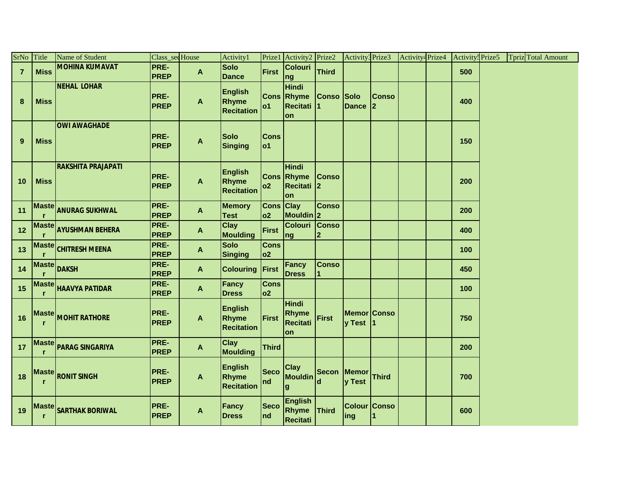| SrNo Title     |             | Name of Student           | Class_secHouse             |                           | Activity1                                    |                        | Prize1 Activity2 Prize2                               |                | Activity3 Prize3            |                             | Activity <sup>4</sup> Prize4 | Activity <sup>5</sup> Prize5 |  | <b>Tpriz</b> Total Amount |  |
|----------------|-------------|---------------------------|----------------------------|---------------------------|----------------------------------------------|------------------------|-------------------------------------------------------|----------------|-----------------------------|-----------------------------|------------------------------|------------------------------|--|---------------------------|--|
| $\overline{7}$ | <b>Miss</b> | <b>MOHINA KUMAVAT</b>     | PRE-<br><b>PREP</b>        | $\boldsymbol{\mathsf{A}}$ | <b>Solo</b><br><b>Dance</b>                  | First                  | Colouri<br>ng                                         | <b>Third</b>   |                             |                             |                              | 500                          |  |                           |  |
| $\bf 8$        | <b>Miss</b> | <b>NEHAL LOHAR</b>        | PRE-<br><b>PREP</b>        | A                         | <b>English</b><br>Rhyme<br><b>Recitation</b> | o1                     | <b>Hindi</b><br><b>Cons Rhyme</b><br>Recitati 1<br>on | Conso Solo     | <b>Dance</b>                | <b>Conso</b><br>$ 2\rangle$ |                              | 400                          |  |                           |  |
| $\overline{9}$ | <b>Miss</b> | <b>OWI AWAGHADE</b>       | PRE-<br><b>PREP</b>        | A                         | <b>Solo</b><br><b>Singing</b>                | <b>Cons</b><br> o1     |                                                       |                |                             |                             |                              | 150                          |  |                           |  |
| 10             | <b>Miss</b> | <b>RAKSHITA PRAJAPATI</b> | PRE-<br><b>PREP</b>        | A                         | <b>English</b><br>Rhyme<br><b>Recitation</b> | o2                     | Hindi<br><b>Cons Rhyme</b><br>Recitati 2<br>lon       | <b>Conso</b>   |                             |                             |                              | 200                          |  |                           |  |
| 11             |             | Maste ANURAG SUKHWAL      | PRE-<br><b>PREP</b>        | $\mathbf{A}$              | <b>Memory</b><br><b>Test</b>                 | Cons Clay<br>02        | Mouldin 2                                             | <b>Conso</b>   |                             |                             |                              | 200                          |  |                           |  |
| 12             |             | Maste AYUSHMAN BEHERA     | PRE-<br><b>PREP</b>        | $\mathsf{A}$              | <b>Clay</b><br><b>Moulding</b>               | First                  | Colouri Conso<br>ng                                   | $\overline{2}$ |                             |                             |                              | 400                          |  |                           |  |
| 13             |             | Maste CHITRESH MEENA      | PRE-<br><b>PREP</b>        | A                         | <b>Solo</b><br><b>Singing</b>                | <b>Cons</b><br> o2     |                                                       |                |                             |                             |                              | 100                          |  |                           |  |
| $14$           |             | Maste DAKSH               | PRE-<br><b>PREP</b>        | $\mathsf{A}$              | <b>Colouring First</b>                       |                        | Fancy<br><b>Dress</b>                                 | <b>Conso</b>   |                             |                             |                              | 450                          |  |                           |  |
| 15             |             | Maste HAAVYA PATIDAR      | PRE-<br><b>PREP</b>        | $\mathbf{A}$              | <b>Fancy</b><br><b>Dress</b>                 | <b>Cons</b><br>02      |                                                       |                |                             |                             |                              | 100                          |  |                           |  |
| 16             |             | Maste MOHIT RATHORE       | PRE-<br><b>PREP</b>        | A                         | <b>English</b><br>Rhyme<br><b>Recitation</b> | First                  | <b>Hindi</b><br>Rhyme<br>Recitati<br>on               | First          | Memor Conso<br>y Test       |                             |                              | 750                          |  |                           |  |
| 17             |             | Maste PARAG SINGARIYA     | <b>PRE-</b><br><b>PREP</b> | $\boldsymbol{\mathsf{A}}$ | <b>Clay</b><br><b>Moulding</b>               | <b>Third</b>           |                                                       |                |                             |                             |                              | 200                          |  |                           |  |
| 18             |             | Maste RONIT SINGH         | PRE-<br><b>PREP</b>        | A                         | <b>English</b><br>Rhyme<br><b>Recitation</b> | <b>Seco</b><br>$\ln d$ | Clay<br>Mouldin<br>lg                                 | ld             | Secon Memor Third<br>y Test |                             |                              | 700                          |  |                           |  |
| 19             |             | Maste SARTHAK BORIWAL     | PRE-<br><b>PREP</b>        | A                         | Fancy<br><b>Dress</b>                        | <b>Seco</b><br>nd      | <b>English</b><br>Rhyme Third<br><b>Recitati</b>      |                | Colour Conso<br> ing        | 11                          |                              | 600                          |  |                           |  |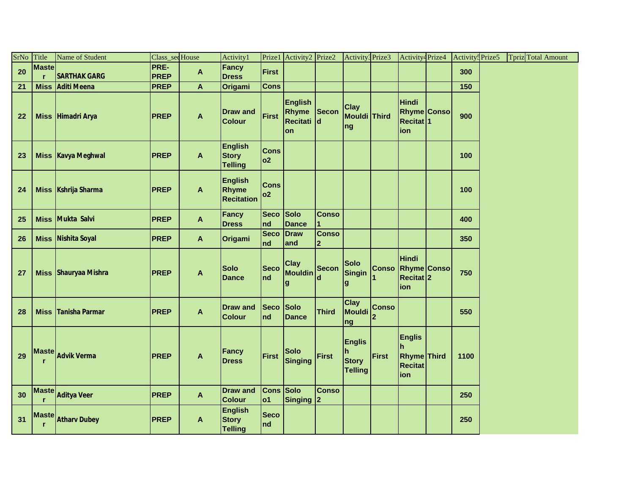| SrNo | Title                        | Name of Student      | Class_seq House |                           | Activity1                                        |                    | Prize1 Activity2 Prize2                      |                              | Activity <sup>3</sup> Prize3                         |                   | Activity <sup>4</sup> Prize4                                       | Activity <sup>5</sup> Prize5 | <b>Tpriz</b> Total Amount |  |
|------|------------------------------|----------------------|-----------------|---------------------------|--------------------------------------------------|--------------------|----------------------------------------------|------------------------------|------------------------------------------------------|-------------------|--------------------------------------------------------------------|------------------------------|---------------------------|--|
| 20   | <b>Maste</b>                 |                      | PRE-            | A                         | <b>Fancy</b>                                     | <b>First</b>       |                                              |                              |                                                      |                   |                                                                    | 300                          |                           |  |
|      | r                            | <b>SARTHAK GARG</b>  | <b>PREP</b>     |                           | <b>Dress</b>                                     |                    |                                              |                              |                                                      |                   |                                                                    |                              |                           |  |
| 21   | <b>Miss</b>                  | <b>Aditi Meena</b>   | <b>PREP</b>     | A                         | Origami                                          | <b>Cons</b>        |                                              |                              |                                                      |                   |                                                                    | 150                          |                           |  |
| 22   |                              | Miss Himadri Arya    | <b>PREP</b>     | A                         | <b>Draw and</b><br><b>Colour</b>                 | First              | <b>English</b><br>Rhyme<br>Recitati d<br>lon | Secon                        | Clay<br>Mouldi Third<br>ng                           |                   | <b>Hindi</b><br><b>Rhyme Conso</b><br>Recitat <sup>1</sup><br>ion  | 900                          |                           |  |
| 23   |                              | Miss Kavya Meghwal   | <b>PREP</b>     | A                         | <b>English</b><br><b>Story</b><br><b>Telling</b> | <b>Cons</b><br> o2 |                                              |                              |                                                      |                   |                                                                    | 100                          |                           |  |
| 24   |                              | Miss Kshrija Sharma  | <b>PREP</b>     | A                         | <b>English</b><br>Rhyme<br><b>Recitation</b>     | <b>Cons</b><br> o2 |                                              |                              |                                                      |                   |                                                                    | 100                          |                           |  |
| 25   | <b>Miss</b>                  | Mukta Salvi          | <b>PREP</b>     | $\mathbf{A}$              | <b>Fancy</b><br><b>Dress</b>                     | Seco Solo<br>nd    | <b>Dance</b>                                 | <b>Conso</b>                 |                                                      |                   |                                                                    | 400                          |                           |  |
| 26   |                              | Miss Nishita Soyal   | <b>PREP</b>     | $\mathbf{A}$              | Origami                                          | <b>Seco</b><br>nd  | Draw<br>and                                  | <b>Conso</b><br>$\mathbf{p}$ |                                                      |                   |                                                                    | 350                          |                           |  |
| 27   |                              | Miss Shauryaa Mishra | <b>PREP</b>     | $\mathbf{A}$              | <b>Solo</b><br><b>Dance</b>                      | <b>Seco</b><br>nd  | <b>Clay</b><br><b>Mouldin</b><br>g           | <b>Secon</b><br>d            | <b>Solo</b><br>Singin<br>$\boldsymbol{g}$            |                   | Hindi<br>Conso Rhyme Conso<br>Recitat <sup>2</sup><br>ion          | 750                          |                           |  |
| 28   | <b>Miss</b>                  | Tanisha Parmar       | <b>PREP</b>     | $\boldsymbol{\mathsf{A}}$ | <b>Draw and</b><br><b>Colour</b>                 | <b>Seco</b><br>nd  | Solo<br><b>Dance</b>                         | <b>Third</b>                 | Clay<br>Mouldi<br>ng                                 | <b>Conso</b><br>2 |                                                                    | 550                          |                           |  |
| 29   |                              | Maste Advik Verma    | <b>PREP</b>     | $\mathbf{A}$              | <b>Fancy</b><br><b>Dress</b>                     | First              | <b>Solo</b><br>Singing                       | <b>First</b>                 | <b>Englis</b><br>h<br><b>Story</b><br><b>Telling</b> | First             | <b>Englis</b><br>Ih<br><b>Rhyme</b> Third<br><b>Recitat</b><br>ion | 1100                         |                           |  |
| 30   |                              | Maste Aditya Veer    | <b>PREP</b>     | $\mathbf{A}$              | <b>Draw and</b><br><b>Colour</b>                 | Cons Solo<br> o1   | Singing 2                                    | <b>Conso</b>                 |                                                      |                   |                                                                    | 250                          |                           |  |
| 31   | <b>Maste</b><br>$\mathbf{r}$ | <b>Atharv Dubey</b>  | <b>PREP</b>     | A                         | <b>English</b><br><b>Story</b><br><b>Telling</b> | <b>Seco</b><br>Ind |                                              |                              |                                                      |                   |                                                                    | 250                          |                           |  |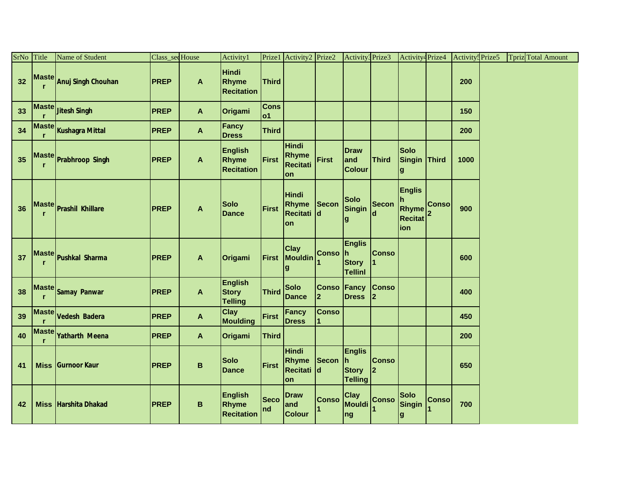| SrNo Title |                   | Name of Student             | Class_sedHouse |                  | Activity1                                        | Prize1                    | Activity2 Prize2                          |                              | Activity3 Prize3                                             |                                | Activity <sup>4</sup> Prize4                                                                              |              | Activity <sup>5</sup> Prize5 | <b>Tpriz</b> Total Amount |  |
|------------|-------------------|-----------------------------|----------------|------------------|--------------------------------------------------|---------------------------|-------------------------------------------|------------------------------|--------------------------------------------------------------|--------------------------------|-----------------------------------------------------------------------------------------------------------|--------------|------------------------------|---------------------------|--|
| 32         | <b>Maste</b><br>r | Anuj Singh Chouhan          | <b>PREP</b>    | A                | <b>Hindi</b><br>Rhyme<br><b>Recitation</b>       | <b>Third</b>              |                                           |                              |                                                              |                                |                                                                                                           |              | 200                          |                           |  |
| 33         | <b>Maste</b>      | <b>Jitesh Singh</b>         | <b>PREP</b>    | A                | Origami                                          | <b>Cons</b><br><b>lo1</b> |                                           |                              |                                                              |                                |                                                                                                           |              | 150                          |                           |  |
| 34         |                   | Maste Kushagra Mittal       | <b>PREP</b>    | A                | Fancy<br><b>Dress</b>                            | <b>Third</b>              |                                           |                              |                                                              |                                |                                                                                                           |              | 200                          |                           |  |
| 35         |                   | Maste Prabhroop Singh       | <b>PREP</b>    | A                | <b>English</b><br>Rhyme<br><b>Recitation</b>     | <b>First</b>              | Hindi<br>Rhyme<br>Recitati<br>on          | First                        | <b>Draw</b><br>and<br><b>Colour</b>                          | <b>Third</b>                   | <b>Solo</b><br>Singin<br>lg                                                                               | Third        | 1000                         |                           |  |
| 36         |                   | Maste Prashil Khillare      | <b>PREP</b>    | A                | <b>Solo</b><br><b>Dance</b>                      | First                     | <b>Hindi</b><br>Rhyme<br>Recitati d<br>on | Secon                        | <b>Solo</b><br>Singin<br>$\boldsymbol{g}$                    | <b>Secon</b><br>d              | <b>Englis</b><br>Ih.<br>$\begin{bmatrix} 1 \\ R \text{hyme} \\ 2 \end{bmatrix}$<br><b>Recitat</b><br>lion |              | 900                          |                           |  |
| 37         | <b>Maste</b>      | Pushkal Sharma              | <b>PREP</b>    | $\boldsymbol{A}$ | Origami                                          | First                     | <b>Clay</b><br>Mouldin<br>g               | <b>Conso</b>                 | <b>Englis</b><br>lh.<br><b>Story</b><br><b>Tellinl</b>       | <b>Conso</b>                   |                                                                                                           |              | 600                          |                           |  |
| 38         | Mastel            | <b>Samay Panwar</b>         | <b>PREP</b>    | $\boldsymbol{A}$ | <b>English</b><br><b>Story</b><br><b>Telling</b> | <b>Third</b>              | <b>Solo</b><br><b>Dance</b>               | <b>Conso</b><br>$\mathbf{2}$ | Fancy<br><b>Dress</b>                                        | <b>Conso</b><br>$\mathbf{2}$   |                                                                                                           |              | 400                          |                           |  |
| 39         | <b>Maste</b>      | Vedesh Badera               | <b>PREP</b>    | $\mathbf{A}$     | <b>Clay</b><br><b>Moulding</b>                   | <b>First</b>              | <b>Fancy</b><br><b>Dress</b>              | <b>Conso</b>                 |                                                              |                                |                                                                                                           |              | 450                          |                           |  |
| 40         | <b>Maste</b><br>r | <b>Yatharth Meena</b>       | <b>PREP</b>    | A                | Origami                                          | <b>Third</b>              |                                           |                              |                                                              |                                |                                                                                                           |              | 200                          |                           |  |
| 41         |                   | Miss Gurnoor Kaur           | <b>PREP</b>    | $\mathsf B$      | <b>Solo</b><br><b>Dance</b>                      | First                     | <b>Hindi</b><br>Rhyme<br>Recitati d<br>on | Secon                        | <b>Englis</b><br><u>Ih</u><br><b>Story</b><br><b>Telling</b> | <b>Conso</b><br>$\overline{2}$ |                                                                                                           |              | 650                          |                           |  |
| 42         |                   | <b>Miss Harshita Dhakad</b> | <b>PREP</b>    | B                | <b>English</b><br>Rhyme<br><b>Recitation</b>     | <b>Seco</b><br>nd         | <b>Draw</b><br>and<br><b>Colour</b>       | <b>Conso</b>                 | <b>Clay</b><br>Mouldi<br>ng                                  | <b>Conso</b>                   | <b>Solo</b><br>Singin<br>g                                                                                | <b>Conso</b> | 700                          |                           |  |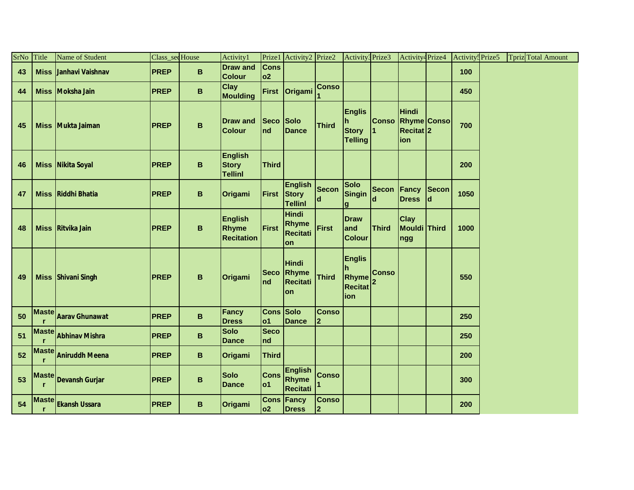| SrNo | Title             | Name of Student       | Class_secHouse |                 | Activity1                                        |                    | Prize1 Activity2 Prize2                          |                    | Activity3 Prize3                                      |                    | Activity <sup>4</sup> Prize4                                  |             | <b>Activity</b> <sup>s</sup> Prize5 | <b>Tpriz</b> Total Amount |  |
|------|-------------------|-----------------------|----------------|-----------------|--------------------------------------------------|--------------------|--------------------------------------------------|--------------------|-------------------------------------------------------|--------------------|---------------------------------------------------------------|-------------|-------------------------------------|---------------------------|--|
| 43   | <b>Miss</b>       | Janhavi Vaishnav      | <b>PREP</b>    | B               | <b>Draw and</b><br><b>Colour</b>                 | <b>Cons</b><br> o2 |                                                  |                    |                                                       |                    |                                                               |             | 100                                 |                           |  |
| 44   | <b>Miss</b>       | Moksha Jain           | <b>PREP</b>    | $\, {\bf B}$    | <b>Clay</b><br><b>Moulding</b>                   | <b>First</b>       | <b>Origami</b>                                   | <b>Conso</b>       |                                                       |                    |                                                               |             | 450                                 |                           |  |
| 45   | <b>Miss</b>       | Mukta Jaiman          | <b>PREP</b>    | $\, {\bf B}$    | <b>Draw and</b><br><b>Colour</b>                 | <b>Seco</b><br>Ind | Solo<br><b>Dance</b>                             | <b>Third</b>       | <b>Englis</b><br>h.<br><b>Story</b><br><b>Telling</b> | <b>Conso</b>       | <b>Hindi</b><br><b>Rhyme Conso</b><br><b>Recitat 2</b><br>ion |             | 700                                 |                           |  |
| 46   |                   | Miss Nikita Soyal     | <b>PREP</b>    | $\, {\bf B}$    | <b>English</b><br><b>Story</b><br><b>Tellinl</b> | <b>Third</b>       |                                                  |                    |                                                       |                    |                                                               |             | 200                                 |                           |  |
| 47   | <b>Miss</b>       | <b>Riddhi Bhatia</b>  | <b>PREP</b>    | $\, {\bf B}$    | Origami                                          | First              | <b>English</b><br><b>Story</b><br><b>Tellinl</b> | <b>Secon</b><br>ld | <b>Solo</b><br>Singin<br>$\mathbf{g}$                 | <b>Secon</b><br>ld | <b>Fancy</b><br><b>Dress</b>                                  | Secon<br>ld | 1050                                |                           |  |
| 48   | <b>Miss</b>       | <b>Ritvika Jain</b>   | <b>PREP</b>    | B               | <b>English</b><br>Rhyme<br><b>Recitation</b>     | First              | <b>Hindi</b><br><b>Rhyme</b><br>Recitati<br>lon  | First              | <b>Draw</b><br>and<br><b>Colour</b>                   | Third              | Clay<br><b>Mouldi Third</b><br>ngg                            |             | 1000                                |                           |  |
| 49   |                   | Miss Shivani Singh    | <b>PREP</b>    | B               | Origami                                          | nd                 | <b>Hindi</b><br>Seco Rhyme<br>Recitati<br>lon    | <b>Third</b>       | <b>Englis</b><br>Rhyme<br><b>Recitat</b><br>ion       | <b>Conso</b>       |                                                               |             | 550                                 |                           |  |
| 50   | <b>Maste</b>      | <b>Aarav Ghunawat</b> | <b>PREP</b>    | $\, {\bf B} \,$ | <b>Fancy</b><br><b>Dress</b>                     | Cons Solo<br> o1   | <b>Dance</b>                                     | <b>Conso</b><br>2  |                                                       |                    |                                                               |             | 250                                 |                           |  |
| 51   | <b>Maste</b>      | <b>Abhinav Mishra</b> | <b>PREP</b>    | $\, {\bf B} \,$ | <b>Solo</b><br><b>Dance</b>                      | <b>Seco</b><br>nd  |                                                  |                    |                                                       |                    |                                                               |             | 250                                 |                           |  |
| 52   | <b>Maste</b>      | <b>Aniruddh Meena</b> | <b>PREP</b>    | $\, {\bf B} \,$ | Origami                                          | <b>Third</b>       |                                                  |                    |                                                       |                    |                                                               |             | 200                                 |                           |  |
| 53   | <b>Maste</b>      | <b>Devansh Gurjar</b> | <b>PREP</b>    | B               | <b>Solo</b><br><b>Dance</b>                      | <b>Cons</b><br> o1 | <b>English</b><br>Rhyme<br>Recitati              | <b>Conso</b>       |                                                       |                    |                                                               |             | 300                                 |                           |  |
| 54   | <b>Maste</b><br>r | <b>Ekansh Ussara</b>  | <b>PREP</b>    | B               | Origami                                          | o2                 | <b>Cons Fancy</b><br>Dress                       | <b>Conso</b><br>2  |                                                       |                    |                                                               |             | 200                                 |                           |  |